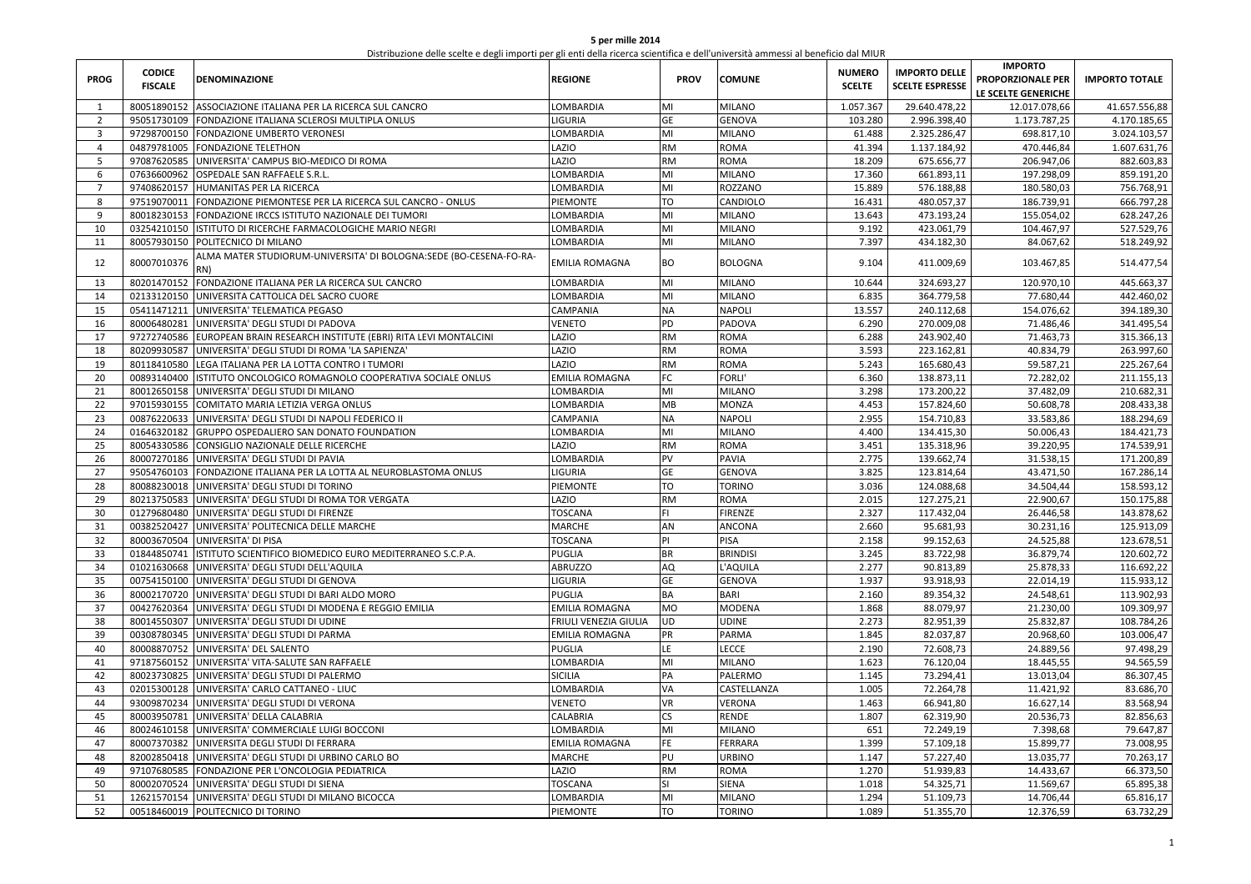| 5 per mille 2014                                                                                                                  |
|-----------------------------------------------------------------------------------------------------------------------------------|
| Distribuzione delle scelte e degli importi per gli enti della ricerca scientifica e dell'università ammessi al beneficio dal MIUR |

| <b>PROG</b>    | <b>CODICE</b><br><b>FISCALE</b> | DENOMINAZIONE                                                             | REGIONE               | <b>PROV</b> | <b>COMUNE</b>   | <b>NUMERO</b><br><b>SCELTE</b> | <b>IMPORTO DELLE</b><br><b>SCELTE ESPRESSE</b> | <b>IMPORTO</b><br>PROPORZIONALE PER<br>LE SCELTE GENERICHE | <b>IMPORTO TOTALE</b> |
|----------------|---------------------------------|---------------------------------------------------------------------------|-----------------------|-------------|-----------------|--------------------------------|------------------------------------------------|------------------------------------------------------------|-----------------------|
| $\mathbf{1}$   | 80051890152                     | ASSOCIAZIONE ITALIANA PER LA RICERCA SUL CANCRO                           | LOMBARDIA             | MI          | <b>MILANO</b>   | 1.057.367                      | 29.640.478,22                                  | 12.017.078,66                                              | 41.657.556,88         |
| $\overline{2}$ | 95051730109                     | FONDAZIONE ITALIANA SCLEROSI MULTIPLA ONLUS                               | LIGURIA               | GE          | <b>GENOVA</b>   | 103.280                        | 2.996.398,40                                   | 1.173.787,25                                               | 4.170.185,65          |
| 3              |                                 | 97298700150 FONDAZIONE UMBERTO VERONESI                                   | LOMBARDIA             | MI          | <b>MILANO</b>   | 61.488                         | 2.325.286,47                                   | 698.817,10                                                 | 3.024.103,57          |
| $\overline{4}$ | 04879781005                     | <b>FONDAZIONE TELETHON</b>                                                | LAZIO                 | RM          | ROMA            | 41.394                         | 1.137.184,92                                   | 470.446,84                                                 | 1.607.631,76          |
| 5              | 97087620585                     | UNIVERSITA' CAMPUS BIO-MEDICO DI ROMA                                     | LAZIO                 | <b>RM</b>   | ROMA            | 18.209                         | 675.656,77                                     | 206.947,06                                                 | 882.603,83            |
| 6              | 07636600962                     | OSPEDALE SAN RAFFAELE S.R.L.                                              | LOMBARDIA             | MI          | MILANO          | 17.360                         | 661.893,11                                     | 197.298,09                                                 | 859.191,20            |
| $\overline{7}$ | 97408620157                     | HUMANITAS PER LA RICERCA                                                  | LOMBARDIA             | MI          | ROZZANO         | 15.889                         | 576.188,88                                     | 180.580,03                                                 | 756.768,91            |
| 8              | 97519070011                     | FONDAZIONE PIEMONTESE PER LA RICERCA SUL CANCRO - ONLUS                   | PIEMONTE              | TO          | CANDIOLO        | 16.431                         | 480.057,37                                     | 186.739,91                                                 | 666.797,28            |
| 9              | 80018230153                     | FONDAZIONE IRCCS ISTITUTO NAZIONALE DEI TUMORI                            | LOMBARDIA             | MI          | MILANO          | 13.643                         | 473.193,24                                     | 155.054,02                                                 | 628.247,26            |
| 10             | 03254210150                     | STITUTO DI RICERCHE FARMACOLOGICHE MARIO NEGRI                            | LOMBARDIA             | MI          | <b>MILANO</b>   | 9.192                          | 423.061,79                                     | 104.467,97                                                 | 527.529,76            |
| 11             | 80057930150                     | POLITECNICO DI MILANO                                                     | LOMBARDIA             | MI          | <b>MILANO</b>   | 7.397                          | 434.182,30                                     | 84.067,62                                                  | 518.249,92            |
| 12             | 80007010376                     | ALMA MATER STUDIORUM-UNIVERSITA' DI BOLOGNA:SEDE (BO-CESENA-FO-RA-<br>RN) | EMILIA ROMAGNA        | BO          | <b>BOLOGNA</b>  | 9.104                          | 411.009,69                                     | 103.467,85                                                 | 514.477,54            |
| 13             | 80201470152                     | FONDAZIONE ITALIANA PER LA RICERCA SUL CANCRO                             | LOMBARDIA             | MI          | <b>MILANO</b>   | 10.644                         | 324.693,27                                     | 120.970,10                                                 | 445.663,37            |
| 14             | 02133120150                     | UNIVERSITA CATTOLICA DEL SACRO CUORE                                      | LOMBARDIA             | MI          | MILANO          | 6.835                          | 364.779,58                                     | 77.680,44                                                  | 442.460,02            |
| 15             | 05411471211                     | UNIVERSITA' TELEMATICA PEGASO                                             | CAMPANIA              | <b>NA</b>   | <b>NAPOLI</b>   | 13.557                         | 240.112,68                                     | 154.076,62                                                 | 394.189,30            |
| 16             | 80006480281                     | UNIVERSITA' DEGLI STUDI DI PADOVA                                         | VENETO                | PD          | PADOVA          | 6.290                          | 270.009,08                                     | 71.486,46                                                  | 341.495,54            |
| 17             | 97272740586                     | EUROPEAN BRAIN RESEARCH INSTITUTE (EBRI) RITA LEVI MONTALCINI             | <b>AZIO</b>           | RM          | <b>AMOR</b>     | 6.288                          | 243.902,40                                     | 71.463,73                                                  | 315.366,13            |
| 18             | 80209930587                     | UNIVERSITA' DEGLI STUDI DI ROMA 'LA SAPIENZA'                             | <b>AZIO</b>           | RM          | ROMA            | 3.593                          | 223.162,81                                     | 40.834,79                                                  | 263.997,60            |
| 19             | 80118410580                     | LEGA ITALIANA PER LA LOTTA CONTRO I TUMORI                                | LAZIO                 | RM          | ROMA            | 5.243                          | 165.680,43                                     | 59.587,21                                                  | 225.267,64            |
| 20             | 00893140400                     | STITUTO ONCOLOGICO ROMAGNOLO COOPERATIVA SOCIALE ONLUS                    | EMILIA ROMAGNA        | FC          | FORLI'          | 6.360                          | 138.873,11                                     | 72.282,02                                                  | 211.155,13            |
| 21             | 80012650158                     | UNIVERSITA' DEGLI STUDI DI MILANO                                         | LOMBARDIA             | MI          | <b>MILANO</b>   | 3.298                          | 173.200,22                                     | 37.482,09                                                  | 210.682,31            |
| 22             | 97015930155                     | COMITATO MARIA LETIZIA VERGA ONLUS                                        | LOMBARDIA             | MB          | <b>MONZA</b>    | 4.453                          | 157.824,60                                     | 50.608,78                                                  | 208.433,38            |
| 23             | 00876220633                     | UNIVERSITA' DEGLI STUDI DI NAPOLI FEDERICO II                             | CAMPANIA              | <b>NA</b>   | NAPOLI          | 2.955                          | 154.710,83                                     | 33.583,86                                                  | 188.294,69            |
| 24             | 01646320182                     | GRUPPO OSPEDALIERO SAN DONATO FOUNDATION                                  | LOMBARDIA             | MI          | <b>MILANO</b>   | 4.400                          | 134.415,30                                     | 50.006,43                                                  | 184.421,73            |
| 25             | 80054330586                     | CONSIGLIO NAZIONALE DELLE RICERCHE                                        | LAZIO                 | <b>RM</b>   | ROMA            | 3.451                          | 135.318,96                                     | 39.220,95                                                  | 174.539,91            |
| 26             | 80007270186                     | UNIVERSITA' DEGLI STUDI DI PAVIA                                          | LOMBARDIA             | PV          | PAVIA           | 2.775                          | 139.662,74                                     | 31.538,15                                                  | 171.200,89            |
| 27             | 95054760103                     | FONDAZIONE ITALIANA PER LA LOTTA AL NEUROBLASTOMA ONLUS                   | <b>IGURIA</b>         | GE          | <b>GENOVA</b>   | 3.825                          | 123.814,64                                     | 43.471,50                                                  | 167.286,14            |
| 28             | 80088230018                     | UNIVERSITA' DEGLI STUDI DI TORINO                                         | PIEMONTE              | TO          | <b>TORINO</b>   | 3.036                          | 124.088,68                                     | 34.504,44                                                  | 158.593,12            |
| 29             | 80213750583                     | UNIVERSITA' DEGLI STUDI DI ROMA TOR VERGATA                               | <b>AZIO</b>           | <b>RM</b>   | ROMA            | 2.015                          | 127.275,21                                     | 22.900,67                                                  | 150.175,88            |
| 30             | 01279680480                     | UNIVERSITA' DEGLI STUDI DI FIRENZE                                        | TOSCANA               | FL.         | FIRENZE         | 2.327                          | 117.432,04                                     | 26.446,58                                                  | 143.878,62            |
| 31             | 00382520427                     | UNIVERSITA' POLITECNICA DELLE MARCHE                                      | MARCHE                | AN          | ANCONA          | 2.660                          | 95.681,93                                      | 30.231,16                                                  | 125.913,09            |
| 32             | 80003670504                     | UNIVERSITA' DI PISA                                                       | <b>TOSCANA</b>        | PI          | PISA            | 2.158                          | 99.152,63                                      | 24.525,88                                                  | 123.678,51            |
| 33             | 01844850741                     | ISTITUTO SCIENTIFICO BIOMEDICO EURO MEDITERRANEO S.C.P.A.                 | PUGLIA                | BR          | <b>BRINDISI</b> | 3.245                          | 83.722,98                                      | 36.879,74                                                  | 120.602,72            |
| 34             |                                 | 01021630668 UNIVERSITA' DEGLI STUDI DELL'AQUILA                           | ABRUZZO               | AQ          | L'AQUILA        | 2.277                          | 90.813,89                                      | 25.878,33                                                  | 116.692,22            |
| 35             | 00754150100                     | UNIVERSITA' DEGLI STUDI DI GENOVA                                         | LIGURIA               | GE          | <b>GENOVA</b>   | 1.937                          | 93.918,93                                      | 22.014,19                                                  | 115.933,12            |
| 36             | 80002170720                     | UNIVERSITA' DEGLI STUDI DI BARI ALDO MORO                                 | PUGLIA                | BA          | <b>BARI</b>     | 2.160                          | 89.354,32                                      | 24.548,61                                                  | 113.902,93            |
| 37             | 00427620364                     | UNIVERSITA' DEGLI STUDI DI MODENA E REGGIO EMILIA                         | EMILIA ROMAGNA        | MO          | MODENA          | 1.868                          | 88.079,97                                      | 21.230,00                                                  | 109.309,97            |
| 38             | 80014550307                     | UNIVERSITA' DEGLI STUDI DI UDINE                                          | FRIULI VENEZIA GIULIA | <b>UD</b>   | <b>UDINE</b>    | 2.273                          | 82.951,39                                      | 25.832,87                                                  | 108.784,26            |
| 39             | 00308780345                     | UNIVERSITA' DEGLI STUDI DI PARMA                                          | EMILIA ROMAGNA        | PR          | PARMA           | 1.845                          | 82.037,87                                      | 20.968,60                                                  | 103.006,47            |
| 40             | 80008870752                     | UNIVERSITA' DEL SALENTO                                                   | PUGLIA                | LE          | <b>LECCE</b>    | 2.190                          | 72.608,73                                      | 24.889,56                                                  | 97.498,29             |
| 41             | 97187560152                     | UNIVERSITA' VITA-SALUTE SAN RAFFAELE                                      | LOMBARDIA             | MI          | <b>MILANO</b>   | 1.623                          | 76.120,04                                      | 18.445,55                                                  | 94.565,59             |
| 42             | 80023730825                     | UNIVERSITA' DEGLI STUDI DI PALERMO                                        | SICILIA               | PA          | PALERMO         | 1.145                          | 73.294,41                                      | 13.013,04                                                  | 86.307,45             |
| 43             | 02015300128                     | UNIVERSITA' CARLO CATTANEO - LIUC                                         | LOMBARDIA             | VA          | CASTELLANZA     | 1.005                          | 72.264,78                                      | 11.421,92                                                  | 83.686,70             |
| 44             | 93009870234                     | UNIVERSITA' DEGLI STUDI DI VERONA                                         | VENETO                | VR          | <b>VERONA</b>   | 1.463                          | 66.941,80                                      | 16.627,14                                                  | 83.568,94             |
| 45             | 80003950781                     | UNIVERSITA' DELLA CALABRIA                                                | CALABRIA              | CS          | RENDE           | 1.807                          | 62.319,90                                      | 20.536,73                                                  | 82.856,63             |
| 46             | 80024610158                     | UNIVERSITA' COMMERCIALE LUIGI BOCCONI                                     | LOMBARDIA             | MI          | MILANO          | 651                            | 72.249,19                                      | 7.398,68                                                   | 79.647,87             |
| 47             | 80007370382                     | UNIVERSITA DEGLI STUDI DI FERRARA                                         | EMILIA ROMAGNA        | FE.         | FERRARA         | 1.399                          | 57.109,18                                      | 15.899,77                                                  | 73.008,95             |
| 48             | 82002850418                     | UNIVERSITA' DEGLI STUDI DI URBINO CARLO BO                                | MARCHE                | PU          | URBINO          | 1.147                          | 57.227,40                                      | 13.035,77                                                  | 70.263,17             |
| 49             | 97107680585                     | FONDAZIONE PER L'ONCOLOGIA PEDIATRICA                                     | <b>AZIO</b>           | RM          | ROMA            | 1.270                          | 51.939,83                                      | 14.433,67                                                  | 66.373,50             |
| 50             | 80002070524                     | UNIVERSITA' DEGLI STUDI DI SIENA                                          | TOSCANA               | SI          | SIENA           | 1.018                          | 54.325,71                                      | 11.569,67                                                  | 65.895,38             |
| 51             | 12621570154                     | UNIVERSITA' DEGLI STUDI DI MILANO BICOCCA                                 | LOMBARDIA             | MI          | <b>MILANO</b>   | 1.294                          | 51.109,73                                      | 14.706,44                                                  | 65.816,17             |
| 52             |                                 | 00518460019 POLITECNICO DI TORINO                                         | PIEMONTE              | TO          | <b>TORINO</b>   | 1.089                          | 51.355,70                                      | 12.376,59                                                  | 63.732,29             |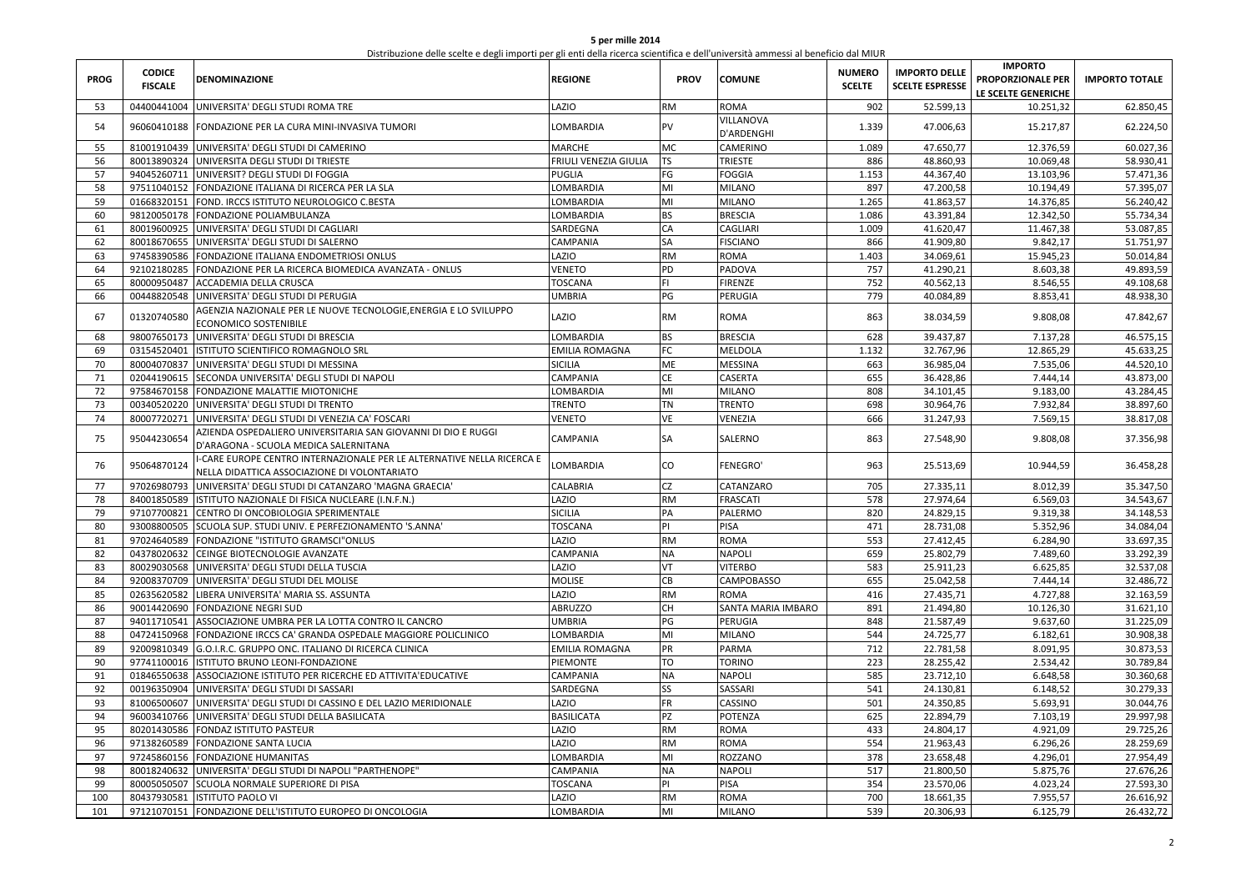| 5 per mille 2014                                                                                                                  |  |
|-----------------------------------------------------------------------------------------------------------------------------------|--|
| Distribuzione delle scelte e degli importi per gli enti della ricerca scientifica e dell'università ammessi al beneficio dal MIUR |  |

| <b>PROG</b> | <b>CODICE</b><br><b>FISCALE</b> | <b>DENOMINAZIONE</b>                                                                                                  | <b>REGIONE</b>        | <b>PROV</b> | <b>COMUNE</b>           | <b>NUMERO</b><br><b>SCELTE</b> | <b>IMPORTO DELLE</b><br><b>SCELTE ESPRESSE</b> | <b>IMPORTO</b><br>PROPORZIONALE PER<br>LE SCELTE GENERICHE | <b>IMPORTO TOTALE</b> |
|-------------|---------------------------------|-----------------------------------------------------------------------------------------------------------------------|-----------------------|-------------|-------------------------|--------------------------------|------------------------------------------------|------------------------------------------------------------|-----------------------|
| 53          | 04400441004                     | UNIVERSITA' DEGLI STUDI ROMA TRE                                                                                      | LAZIO                 | <b>RM</b>   | <b>ROMA</b>             | 902                            | 52.599,13                                      | 10.251,32                                                  | 62.850,45             |
| 54          | 96060410188                     | FONDAZIONE PER LA CURA MINI-INVASIVA TUMORI                                                                           | LOMBARDIA             | PV          | VILLANOVA<br>D'ARDENGHI | 1.339                          | 47.006,63                                      | 15.217,87                                                  | 62.224,50             |
| 55          |                                 | 81001910439 UNIVERSITA' DEGLI STUDI DI CAMERINO                                                                       | <b>MARCHE</b>         | MC          | CAMERINO                | 1.089                          | 47.650,77                                      | 12.376,59                                                  | 60.027,36             |
| 56          |                                 | 80013890324 UNIVERSITA DEGLI STUDI DI TRIESTE                                                                         | FRIULI VENEZIA GIULIA | <b>TS</b>   | <b>TRIESTE</b>          | 886                            | 48.860,93                                      | 10.069,48                                                  | 58.930,41             |
| 57          |                                 | 94045260711 UNIVERSIT? DEGLI STUDI DI FOGGIA                                                                          | <b>PUGLIA</b>         | FG          | <b>FOGGIA</b>           | 1.153                          | 44.367,40                                      | 13.103,96                                                  | 57.471,36             |
| 58          | 97511040152                     | FONDAZIONE ITALIANA DI RICERCA PER LA SLA                                                                             | LOMBARDIA             | MI          | <b>MILANO</b>           | 897                            | 47.200,58                                      | 10.194,49                                                  | 57.395,07             |
| 59          | 01668320151                     | FOND. IRCCS ISTITUTO NEUROLOGICO C.BESTA                                                                              | LOMBARDIA             | MI          | <b>MILANO</b>           | 1.265                          | 41.863,57                                      | 14.376,85                                                  | 56.240,42             |
| 60          |                                 | 98120050178 FONDAZIONE POLIAMBULANZA                                                                                  | LOMBARDIA             | <b>BS</b>   | <b>BRESCIA</b>          | 1.086                          | 43.391,84                                      | 12.342,50                                                  | 55.734,34             |
| 61          | 80019600925                     | UNIVERSITA' DEGLI STUDI DI CAGLIARI                                                                                   | SARDEGNA              | CA          | <b>CAGLIARI</b>         | 1.009                          | 41.620,47                                      | 11.467,38                                                  | 53.087,85             |
| 62          | 80018670655                     | UNIVERSITA' DEGLI STUDI DI SALERNO                                                                                    | CAMPANIA              | SA          | <b>FISCIANO</b>         | 866                            | 41.909,80                                      | 9.842,17                                                   | 51.751,97             |
| 63          |                                 | 97458390586 FONDAZIONE ITALIANA ENDOMETRIOSI ONLUS                                                                    | LAZIO                 | <b>RM</b>   | <b>ROMA</b>             | 1.403                          | 34.069,61                                      | 15.945,23                                                  | 50.014,84             |
| 64          | 92102180285                     | FONDAZIONE PER LA RICERCA BIOMEDICA AVANZATA - ONLUS                                                                  | VENETO                | PD          | PADOVA                  | 757                            | 41.290,21                                      | 8.603,38                                                   | 49.893,59             |
| 65          |                                 | 80000950487 ACCADEMIA DELLA CRUSCA                                                                                    | TOSCANA               | FL.         | <b>FIRENZE</b>          | 752                            | 40.562,13                                      | 8.546,55                                                   | 49.108,68             |
| 66          |                                 | 00448820548 UNIVERSITA' DEGLI STUDI DI PERUGIA                                                                        | <b>UMBRIA</b>         | PG          | PERUGIA                 | 779                            | 40.084,89                                      | 8.853,41                                                   | 48.938,30             |
| 67          | 01320740580                     | AGENZIA NAZIONALE PER LE NUOVE TECNOLOGIE,ENERGIA E LO SVILUPPO<br>ECONOMICO SOSTENIBILE                              | LAZIO                 | <b>RM</b>   | <b>ROMA</b>             | 863                            | 38.034,59                                      | 9.808,08                                                   | 47.842,67             |
| 68          |                                 | 98007650173 UNIVERSITA' DEGLI STUDI DI BRESCIA                                                                        | LOMBARDIA             | <b>BS</b>   | <b>BRESCIA</b>          | 628                            | 39.437,87                                      | 7.137,28                                                   | 46.575,15             |
| 69          | 03154520401                     | ISTITUTO SCIENTIFICO ROMAGNOLO SRL                                                                                    | <b>EMILIA ROMAGNA</b> | FC          | MELDOLA                 | 1.132                          | 32.767,96                                      | 12.865,29                                                  | 45.633,25             |
| 70          | 80004070837                     | UNIVERSITA' DEGLI STUDI DI MESSINA                                                                                    | <b>SICILIA</b>        | ME          | <b>MESSINA</b>          | 663                            | 36.985,04                                      | 7.535,06                                                   | 44.520,10             |
| 71          |                                 | 02044190615 SECONDA UNIVERSITA' DEGLI STUDI DI NAPOLI                                                                 | <b>CAMPANIA</b>       | <b>CE</b>   | <b>CASERTA</b>          | 655                            | 36.428,86                                      | 7.444,14                                                   | 43.873,00             |
| 72          |                                 | 97584670158 FONDAZIONE MALATTIE MIOTONICHE                                                                            | LOMBARDIA             | MI          | <b>MILANO</b>           | 808                            | 34.101,45                                      | 9.183,00                                                   | 43.284,45             |
| 73          |                                 | 00340520220 UNIVERSITA' DEGLI STUDI DI TRENTO                                                                         | <b>TRENTO</b>         | <b>TN</b>   | <b>TRENTO</b>           | 698                            | 30.964,76                                      | 7.932,84                                                   | 38.897,60             |
| 74          |                                 | 80007720271 UNIVERSITA' DEGLI STUDI DI VENEZIA CA' FOSCARI                                                            | VENETO                | VE          | VENEZIA                 | 666                            | 31.247,93                                      | 7.569,15                                                   | 38.817,08             |
|             |                                 | AZIENDA OSPEDALIERO UNIVERSITARIA SAN GIOVANNI DI DIO E RUGGI                                                         |                       |             |                         |                                |                                                |                                                            |                       |
| 75          | 95044230654                     | D'ARAGONA - SCUOLA MEDICA SALERNITANA                                                                                 | CAMPANIA              | SA          | SALERNO                 | 863                            | 27.548,90                                      | 9.808,08                                                   | 37.356,98             |
| 76          | 95064870124                     | -CARE EUROPE CENTRO INTERNAZIONALE PER LE ALTERNATIVE NELLA RICERCA E<br>NELLA DIDATTICA ASSOCIAZIONE DI VOLONTARIATO | <b>LOMBARDIA</b>      | CO          | <b>FENEGRO'</b>         | 963                            | 25.513,69                                      | 10.944,59                                                  | 36.458,28             |
| 77          | 97026980793                     | UNIVERSITA' DEGLI STUDI DI CATANZARO 'MAGNA GRAECIA'                                                                  | CALABRIA              | <b>CZ</b>   | CATANZARO               | 705                            | 27.335,11                                      | 8.012,39                                                   | 35.347,50             |
| 78          | 84001850589                     | ISTITUTO NAZIONALE DI FISICA NUCLEARE (I.N.F.N.)                                                                      | LAZIO                 | <b>RM</b>   | <b>FRASCATI</b>         | 578                            | 27.974,64                                      | 6.569,03                                                   | 34.543,67             |
| 79          | 97107700821                     | CENTRO DI ONCOBIOLOGIA SPERIMENTALE                                                                                   | <b>SICILIA</b>        | PA          | PALERMO                 | 820                            | 24.829,15                                      | 9.319,38                                                   | 34.148,53             |
| 80          | 93008800505                     | SCUOLA SUP. STUDI UNIV. E PERFEZIONAMENTO 'S.ANNA'                                                                    | TOSCANA               | PI          | <b>PISA</b>             | 471                            | 28.731,08                                      | 5.352,96                                                   | 34.084,04             |
| 81          | 97024640589                     | FONDAZIONE "ISTITUTO GRAMSCI"ONLUS                                                                                    | LAZIO                 | <b>RM</b>   | <b>ROMA</b>             | 553                            | 27.412,45                                      | 6.284,90                                                   | 33.697,35             |
| 82          | 04378020632                     | CEINGE BIOTECNOLOGIE AVANZATE                                                                                         | CAMPANIA              | <b>NA</b>   | <b>NAPOLI</b>           | 659                            | 25.802,79                                      | 7.489,60                                                   | 33.292,39             |
| 83          |                                 | 80029030568 UNIVERSITA' DEGLI STUDI DELLA TUSCIA                                                                      | LAZIO                 | VT          | <b>VITERBO</b>          | 583                            | 25.911,23                                      | 6.625,85                                                   | 32.537,08             |
| 84          |                                 | 92008370709 UNIVERSITA' DEGLI STUDI DEL MOLISE                                                                        | <b>MOLISE</b>         | CB          | <b>CAMPOBASSO</b>       | 655                            | 25.042,58                                      | 7.444,14                                                   | 32.486,72             |
| 85          | 02635620582                     | LIBERA UNIVERSITA' MARIA SS. ASSUNTA                                                                                  | LAZIO                 | <b>RM</b>   | <b>ROMA</b>             | 416                            | 27.435,71                                      | 4.727,88                                                   | 32.163,59             |
| 86          |                                 | 90014420690 FONDAZIONE NEGRI SUD                                                                                      | <b>ABRUZZO</b>        | CH          | SANTA MARIA IMBARO      | 891                            | 21.494,80                                      | 10.126,30                                                  | 31.621,10             |
| 87          | 94011710541                     | ASSOCIAZIONE UMBRA PER LA LOTTA CONTRO IL CANCRO                                                                      | <b>UMBRIA</b>         | PG          | PERUGIA                 | 848                            | 21.587,49                                      | 9.637,60                                                   | 31.225,09             |
| 88          | 04724150968                     | FONDAZIONE IRCCS CA' GRANDA OSPEDALE MAGGIORE POLICLINICO                                                             | LOMBARDIA             | MI          | <b>MILANO</b>           | 544                            | 24.725,77                                      | 6.182,61                                                   | 30.908,38             |
| 89          |                                 | 92009810349 G.O.I.R.C. GRUPPO ONC. ITALIANO DI RICERCA CLINICA                                                        | <b>EMILIA ROMAGNA</b> | PR          | <b>PARMA</b>            | 712                            | 22.781,58                                      | 8.091,95                                                   | 30.873,53             |
| 90          | 97741100016                     | ISTITUTO BRUNO LEONI-FONDAZIONE                                                                                       | PIEMONTE              | TO          | <b>TORINO</b>           | 223                            | 28.255,42                                      | 2.534,42                                                   | 30.789,84             |
| 91          | 01846550638                     | ASSOCIAZIONE ISTITUTO PER RICERCHE ED ATTIVITA'EDUCATIVE                                                              | CAMPANIA              | <b>NA</b>   | <b>NAPOLI</b>           | 585                            | 23.712,10                                      | 6.648,58                                                   | 30.360,68             |
| 92          | 00196350904                     | UNIVERSITA' DEGLI STUDI DI SASSARI                                                                                    | SARDEGNA              | <b>SS</b>   | SASSARI                 | 541                            | 24.130,81                                      | 6.148,52                                                   | 30.279,33             |
| 93          | 81006500607                     | UNIVERSITA' DEGLI STUDI DI CASSINO E DEL LAZIO MERIDIONALE                                                            | LAZIO                 | <b>FR</b>   | CASSINO                 | 501                            | 24.350,85                                      | 5.693,91                                                   | 30.044,76             |
| 94          |                                 | 96003410766 UNIVERSITA' DEGLI STUDI DELLA BASILICATA                                                                  | <b>BASILICATA</b>     | PZ          | POTENZA                 | 625                            | 22.894,79                                      | 7.103,19                                                   | 29.997,98             |
| 95          |                                 | 80201430586 FONDAZ ISTITUTO PASTEUR                                                                                   | LAZIO                 | <b>RM</b>   | <b>ROMA</b>             | 433                            | 24.804,17                                      | 4.921,09                                                   | 29.725,26             |
| 96          | 97138260589                     | <b>FONDAZIONE SANTA LUCIA</b>                                                                                         | LAZIO                 | <b>RM</b>   | <b>ROMA</b>             | 554                            | 21.963,43                                      | 6.296,26                                                   | 28.259,69             |
| 97          |                                 | 97245860156 FONDAZIONE HUMANITAS                                                                                      | LOMBARDIA             | MI          | ROZZANO                 | 378                            | 23.658,48                                      | 4.296,01                                                   | 27.954,49             |
| 98          | 80018240632                     | UNIVERSITA' DEGLI STUDI DI NAPOLI "PARTHENOPE"                                                                        | CAMPANIA              | <b>NA</b>   | <b>NAPOLI</b>           | 517                            | 21.800,50                                      | 5.875,76                                                   | 27.676,26             |
| 99          | 80005050507                     | SCUOLA NORMALE SUPERIORE DI PISA                                                                                      | TOSCANA               | PI          | PISA                    | 354                            | 23.570,06                                      | 4.023,24                                                   | 27.593,30             |
| 100         | 80437930581                     | <b>ISTITUTO PAOLO VI</b>                                                                                              | LAZIO                 | <b>RM</b>   | <b>ROMA</b>             | 700                            | 18.661,35                                      | 7.955,57                                                   | 26.616,92             |
| 101         |                                 | 97121070151 FONDAZIONE DELL'ISTITUTO EUROPEO DI ONCOLOGIA                                                             | LOMBARDIA             | MI          | <b>MILANO</b>           | 539                            | 20.306,93                                      | 6.125,79                                                   | 26.432,72             |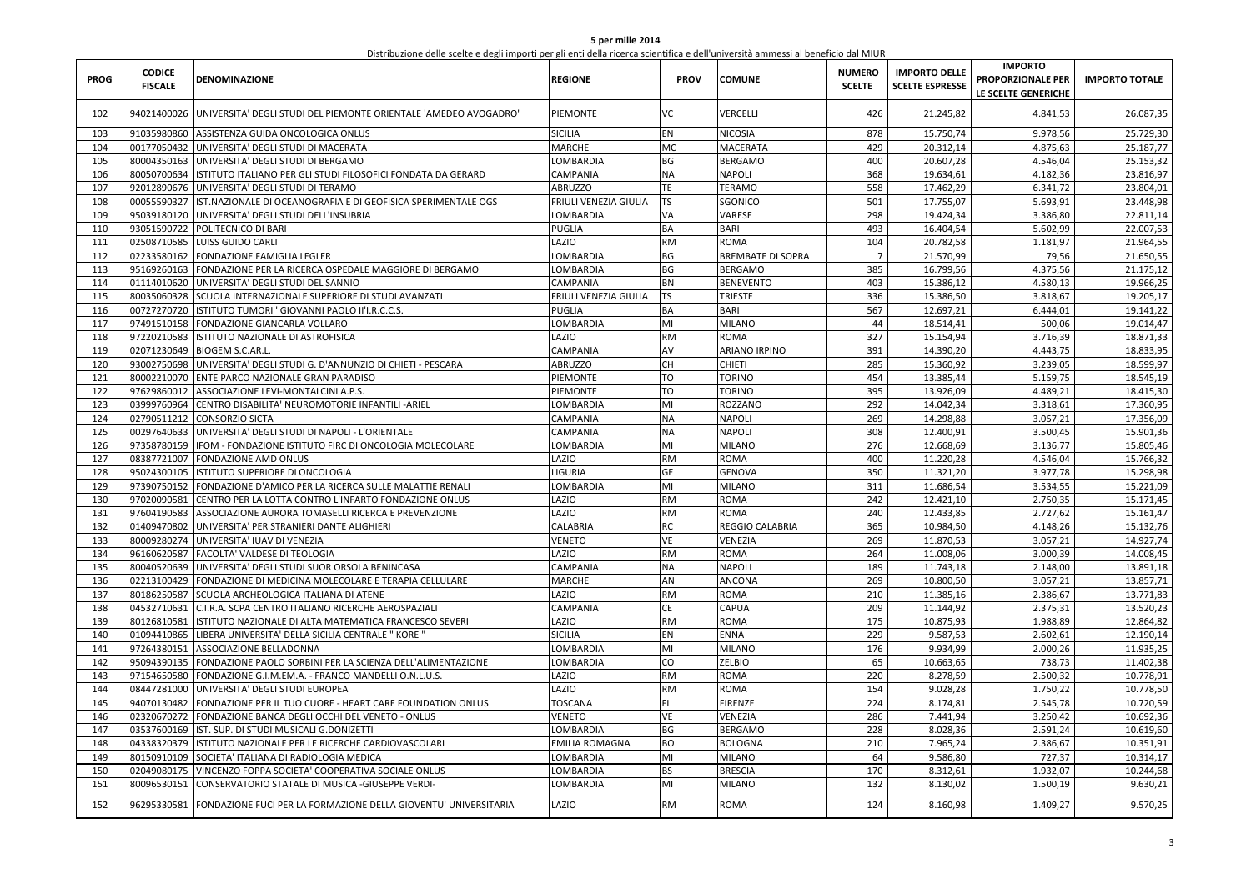| 5 per mille 2014                                                                                                                  |
|-----------------------------------------------------------------------------------------------------------------------------------|
| Distribuzione delle scelte e degli importi per gli enti della ricerca scientifica e dell'università ammessi al beneficio dal MIUR |

| <b>PROG</b> | <b>CODICE</b><br><b>FISCALE</b> | <b>DENOMINAZIONE</b>                                                   | REGIONE               | <b>PROV</b> | <b>COMUNE</b>            | <b>NUMERO</b><br><b>SCELTE</b> | <b>IMPORTO DELLE</b><br><b>SCELTE ESPRESSE</b> | <b>IMPORTO</b><br><b>PROPORZIONALE PER</b><br>LE SCELTE GENERICHE | <b>IMPORTO TOTALE</b> |
|-------------|---------------------------------|------------------------------------------------------------------------|-----------------------|-------------|--------------------------|--------------------------------|------------------------------------------------|-------------------------------------------------------------------|-----------------------|
| 102         | 94021400026                     | UNIVERSITA' DEGLI STUDI DEL PIEMONTE ORIENTALE 'AMEDEO AVOGADRO'       | PIEMONTE              | ٧C          | VERCELLI                 | 426                            | 21.245,82                                      | 4.841,53                                                          | 26.087,35             |
| 103         | 91035980860                     | ASSISTENZA GUIDA ONCOLOGICA ONLUS                                      | <b>SICILIA</b>        | EN          | <b>NICOSIA</b>           | 878                            | 15.750,74                                      | 9.978,56                                                          | 25.729,30             |
| 104         | 00177050432                     | UNIVERSITA' DEGLI STUDI DI MACERATA                                    | <b>MARCHE</b>         | MC          | <b>MACERATA</b>          | 429                            | 20.312,14                                      | 4.875,63                                                          | 25.187,77             |
| 105         |                                 | 80004350163 UNIVERSITA' DEGLI STUDI DI BERGAMO                         | LOMBARDIA             | BG          | <b>BERGAMO</b>           | 400                            | 20.607,28                                      | 4.546,04                                                          | 25.153,32             |
| 106         | 80050700634                     | ISTITUTO ITALIANO PER GLI STUDI FILOSOFICI FONDATA DA GERARD           | CAMPANIA              | NA          | <b>NAPOLI</b>            | 368                            | 19.634,61                                      | 4.182,36                                                          | 23.816,97             |
| 107         |                                 | 92012890676 UNIVERSITA' DEGLI STUDI DI TERAMO                          | ABRUZZO               | TE          | <b>TERAMO</b>            | 558                            | 17.462,29                                      | 6.341,72                                                          | 23.804,01             |
| 108         | 00055590327                     | IST.NAZIONALE DI OCEANOGRAFIA E DI GEOFISICA SPERIMENTALE OGS          | FRIULI VENEZIA GIULIA | TS          | SGONICO                  | 501                            | 17.755,07                                      | 5.693,91                                                          | 23.448,98             |
| 109         |                                 | 95039180120 UNIVERSITA' DEGLI STUDI DELL'INSUBRIA                      | LOMBARDIA             | VA          | VARESE                   | 298                            | 19.424,34                                      | 3.386,80                                                          | 22.811,14             |
| 110         | 93051590722                     | POLITECNICO DI BARI                                                    | PUGLIA                | BA          | <b>BARI</b>              | 493                            | 16.404,54                                      | 5.602,99                                                          | 22.007,53             |
| 111         |                                 | 02508710585 LUISS GUIDO CARLI                                          | LAZIO                 | <b>RM</b>   | ROMA                     | 104                            | 20.782,58                                      | 1.181,97                                                          | 21.964,55             |
| 112         |                                 | 02233580162 FONDAZIONE FAMIGLIA LEGLER                                 | LOMBARDIA             | BG          | <b>BREMBATE DI SOPRA</b> | $\overline{7}$                 | 21.570,99                                      | 79,56                                                             | 21.650,55             |
| 113         | 95169260163                     | FONDAZIONE PER LA RICERCA OSPEDALE MAGGIORE DI BERGAMO                 | LOMBARDIA             | BG          | BERGAMO                  | 385                            | 16.799,56                                      | 4.375,56                                                          | 21.175,12             |
| 114         |                                 | 01114010620 UNIVERSITA' DEGLI STUDI DEL SANNIO                         | CAMPANIA              | BN          | <b>BENEVENTO</b>         | 403                            | 15.386,12                                      | 4.580,13                                                          | 19.966,25             |
| 115         |                                 | 80035060328 SCUOLA INTERNAZIONALE SUPERIORE DI STUDI AVANZATI          | FRIULI VENEZIA GIULIA | <b>TS</b>   | <b>TRIESTE</b>           | 336                            | 15.386,50                                      | 3.818,67                                                          | 19.205,17             |
| 116         | 00727270720                     | ISTITUTO TUMORI ' GIOVANNI PAOLO II'I.R.C.C.S.                         | PUGLIA                | BA          | <b>BARI</b>              | 567                            | 12.697,21                                      | 6.444,01                                                          | 19.141,22             |
| 117         |                                 | 97491510158 FONDAZIONE GIANCARLA VOLLARO                               | LOMBARDIA             | MI          | <b>MILANO</b>            | 44                             | 18.514,41                                      | 500,06                                                            | 19.014,47             |
| 118         |                                 | 97220210583 ISTITUTO NAZIONALE DI ASTROFISICA                          | <b>AZIO</b>           | <b>RM</b>   | ROMA                     | 327                            | 15.154,94                                      | 3.716,39                                                          | 18.871,33             |
| 119         |                                 | 02071230649 BIOGEM S.C.AR.L.                                           | CAMPANIA              | AV          | ARIANO IRPINO            | 391                            | 14.390,20                                      | 4.443,75                                                          | 18.833,95             |
| 120         |                                 | 93002750698 UNIVERSITA' DEGLI STUDI G. D'ANNUNZIO DI CHIETI - PESCARA  | ABRUZZO               | CH          | <b>CHIETI</b>            | 285                            | 15.360,92                                      | 3.239,05                                                          | 18.599,97             |
| 121         |                                 | 80002210070 ENTE PARCO NAZIONALE GRAN PARADISO                         | PIEMONTE              | TO          | <b>TORINO</b>            | 454                            | 13.385,44                                      | 5.159,75                                                          | 18.545,19             |
| 122         | 97629860012                     | ASSOCIAZIONE LEVI-MONTALCINI A.P.S.                                    | PIEMONTE              | TO          | <b>TORINO</b>            | 395                            | 13.926,09                                      | 4.489,21                                                          | 18.415,30             |
| 123         |                                 | 03999760964 CENTRO DISABILITA' NEUROMOTORIE INFANTILI - ARIEL          | LOMBARDIA             | MI          | ROZZANO                  | 292                            | 14.042,34                                      | 3.318,61                                                          | 17.360,95             |
| 124         |                                 | 02790511212 CONSORZIO SICTA                                            | CAMPANIA              | <b>NA</b>   | <b>NAPOLI</b>            | 269                            | 14.298,88                                      | 3.057,21                                                          | 17.356,09             |
| 125         | 00297640633                     | UNIVERSITA' DEGLI STUDI DI NAPOLI - L'ORIENTALE                        | CAMPANIA              | <b>NA</b>   | NAPOLI                   | 308                            | 12.400,91                                      | 3.500,45                                                          | 15.901,36             |
| 126         |                                 | 97358780159   IFOM - FONDAZIONE ISTITUTO FIRC DI ONCOLOGIA MOLECOLARE  | LOMBARDIA             | MI          | <b>MILANO</b>            | 276                            | 12.668,69                                      | 3.136,77                                                          | 15.805,46             |
| 127         |                                 | 08387721007 FONDAZIONE AMD ONLUS                                       | <b>AZIO</b>           | <b>RM</b>   | ROMA                     | 400                            | 11.220,28                                      | 4.546,04                                                          | 15.766,32             |
| 128         | 95024300105                     | ISTITUTO SUPERIORE DI ONCOLOGIA                                        | LIGURIA               | GE          | <b>GENOVA</b>            | 350                            | 11.321,20                                      | 3.977,78                                                          | 15.298,98             |
| 129         |                                 | 97390750152 FONDAZIONE D'AMICO PER LA RICERCA SULLE MALATTIE RENALI    | LOMBARDIA             | MI          | <b>MILANO</b>            | 311                            | 11.686,54                                      | 3.534,55                                                          | 15.221,09             |
| 130         |                                 | 97020090581 CENTRO PER LA LOTTA CONTRO L'INFARTO FONDAZIONE ONLUS      | <b>AZIO</b>           | <b>RM</b>   | ROMA                     | 242                            | 12.421,10                                      | 2.750,35                                                          | 15.171,45             |
| 131         | 97604190583                     | ASSOCIAZIONE AURORA TOMASELLI RICERCA E PREVENZIONE                    | LAZIO                 | <b>RM</b>   | ROMA                     | 240                            | 12.433,85                                      | 2.727,62                                                          | 15.161,47             |
| 132         |                                 | 01409470802 UNIVERSITA' PER STRANIERI DANTE ALIGHIERI                  | CALABRIA              | RC          | REGGIO CALABRIA          | 365                            | 10.984,50                                      | 4.148,26                                                          | 15.132,76             |
| 133         |                                 | 80009280274 UNIVERSITA' IUAV DI VENEZIA                                | VENETO                | VE          | VENEZIA                  | 269                            | 11.870,53                                      | 3.057,21                                                          | 14.927,74             |
| 134         |                                 | 96160620587 FACOLTA' VALDESE DI TEOLOGIA                               | LAZIO                 | <b>RM</b>   | <b>ROMA</b>              | 264                            | 11.008,06                                      | 3.000,39                                                          | 14.008,45             |
| 135         |                                 | 80040520639 UNIVERSITA' DEGLI STUDI SUOR ORSOLA BENINCASA              | CAMPANIA              | <b>NA</b>   | <b>NAPOLI</b>            | 189                            | 11.743,18                                      | 2.148,00                                                          | 13.891,18             |
| 136         |                                 | 02213100429 FONDAZIONE DI MEDICINA MOLECOLARE E TERAPIA CELLULARE      | MARCHE                | AN          | ANCONA                   | 269                            | 10.800,50                                      | 3.057,21                                                          | 13.857,71             |
| 137         | 80186250587                     | SCUOLA ARCHEOLOGICA ITALIANA DI ATENE                                  | LAZIO                 | <b>RM</b>   | <b>ROMA</b>              | 210                            | 11.385,16                                      | 2.386,67                                                          | 13.771,83             |
| 138         |                                 | 04532710631 C.I.R.A. SCPA CENTRO ITALIANO RICERCHE AEROSPAZIALI        | CAMPANIA              | СE          | CAPUA                    | 209                            | 11.144,92                                      | 2.375,31                                                          | 13.520,23             |
| 139         | 80126810581                     | ISTITUTO NAZIONALE DI ALTA MATEMATICA FRANCESCO SEVERI                 | LAZIO                 | <b>RM</b>   | ROMA                     | 175                            | 10.875,93                                      | 1.988,89                                                          | 12.864,82             |
| 140         | 01094410865                     | LIBERA UNIVERSITA' DELLA SICILIA CENTRALE " KORE '                     | <b>SICILIA</b>        | EN          | <b>ENNA</b>              | 229                            | 9.587,53                                       | 2.602,61                                                          | 12.190,14             |
| 141         | 97264380151                     | ASSOCIAZIONE BELLADONNA                                                | LOMBARDIA             | MI          | <b>MILANO</b>            | 176                            | 9.934,99                                       | 2.000,26                                                          | 11.935,25             |
| 142         |                                 | 95094390135 FONDAZIONE PAOLO SORBINI PER LA SCIENZA DELL'ALIMENTAZIONE | LOMBARDIA             | CO          | ZELBIO                   | 65                             | 10.663,65                                      | 738,73                                                            | 11.402,38             |
| 143         |                                 | 97154650580 FONDAZIONE G.I.M.EM.A. - FRANCO MANDELLI O.N.L.U.S.        | LAZIO                 | <b>RM</b>   | <b>ROMA</b>              | 220                            | 8.278,59                                       | 2.500,32                                                          | 10.778,91             |
| 144         |                                 | 08447281000 UNIVERSITA' DEGLI STUDI EUROPEA                            | <b>AZIO</b>           | <b>RM</b>   | ROMA                     | 154                            | 9.028,28                                       | 1.750,22                                                          | 10.778,50             |
| 145         | 94070130482                     | FONDAZIONE PER IL TUO CUORE - HEART CARE FOUNDATION ONLUS              | <b>TOSCANA</b>        | FL.         | <b>FIRENZE</b>           | 224                            | 8.174,81                                       | 2.545,78                                                          | 10.720,59             |
| 146         | 02320670272                     | FONDAZIONE BANCA DEGLI OCCHI DEL VENETO - ONLUS                        | VENETO                | VE          | VENEZIA                  | 286                            | 7.441,94                                       | 3.250,42                                                          | 10.692,36             |
| 147         |                                 | 03537600169 IST. SUP. DI STUDI MUSICALI G.DONIZETTI                    | LOMBARDIA             | ВG          | <b>BERGAMO</b>           | 228                            | 8.028,36                                       | 2.591,24                                                          | 10.619,60             |
| 148         | 04338320379                     | ISTITUTO NAZIONALE PER LE RICERCHE CARDIOVASCOLARI                     | EMILIA ROMAGNA        | BO          | <b>BOLOGNA</b>           | 210                            | 7.965,24                                       | 2.386,67                                                          | 10.351,91             |
| 149         | 80150910109                     | SOCIETA' ITALIANA DI RADIOLOGIA MEDICA                                 | <b>LOMBARDIA</b>      | MI          | <b>MILANO</b>            | 64                             | 9.586,80                                       | 727,37                                                            | 10.314,17             |
| 150         | 02049080175                     | VINCENZO FOPPA SOCIETA' COOPERATIVA SOCIALE ONLUS                      | <b>LOMBARDIA</b>      | BS          | <b>BRESCIA</b>           | 170                            | 8.312,61                                       | 1.932,07                                                          | 10.244,68             |
| 151         | 80096530151                     | CONSERVATORIO STATALE DI MUSICA - GIUSEPPE VERDI-                      | <b>LOMBARDIA</b>      | MI          | MILANO                   | 132                            | 8.130,02                                       | 1.500,19                                                          | 9.630,21              |
| 152         | 96295330581                     | FONDAZIONE FUCI PER LA FORMAZIONE DELLA GIOVENTU' UNIVERSITARIA        | <b>AZIO</b>           | <b>RM</b>   | ROMA                     | 124                            | 8.160,98                                       | 1.409,27                                                          | 9.570,25              |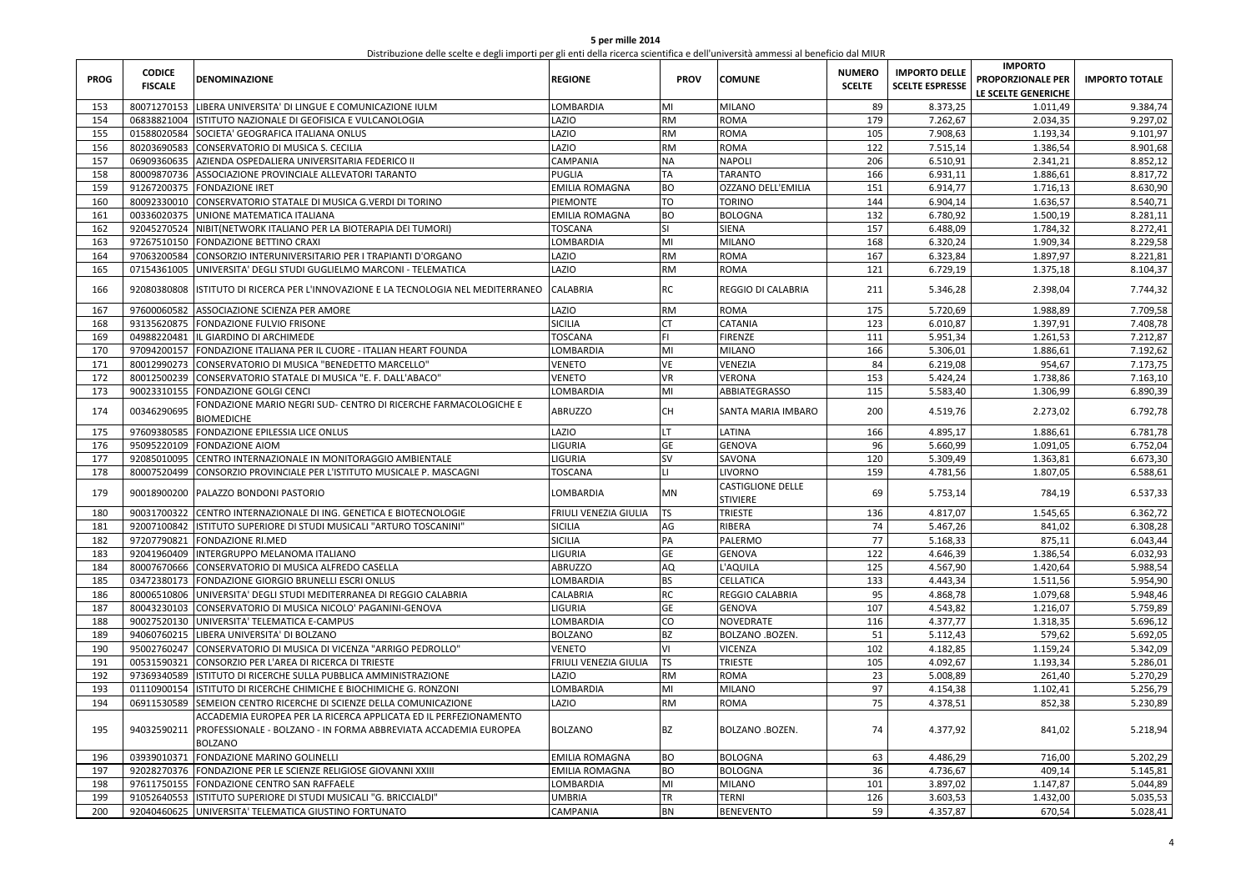| 5 per mille 2014                                                                                                                  |
|-----------------------------------------------------------------------------------------------------------------------------------|
| Distribuzione delle scelte e degli importi per gli enti della ricerca scientifica e dell'università ammessi al beneficio dal MIUR |

| 153<br>80071270153 LIBERA UNIVERSITA' DI LINGUE E COMUNICAZIONE IULM<br>LOMBARDIA<br>MI<br><b>MILANO</b><br>89<br>8.373,25<br>1.011,49<br>9.384,74<br><b>ROMA</b><br>179<br>9.297,02<br>154<br>06838821004  ISTITUTO NAZIONALE DI GEOFISICA E VULCANOLOGIA<br>LAZIO<br>RM<br>7.262,67<br>2.034,35<br>LAZIO<br>155<br>01588020584 SOCIETA' GEOGRAFICA ITALIANA ONLUS<br><b>RM</b><br><b>ROMA</b><br>105<br>7.908.63<br>1.193,34<br>9.101,97<br>LAZIO<br>156<br>80203690583<br>CONSERVATORIO DI MUSICA S. CECILIA<br>RM<br><b>ROMA</b><br>122<br>7.515,14<br>1.386,54<br>8.901,68<br>157<br>06909360635 AZIENDA OSPEDALIERA UNIVERSITARIA FEDERICO II<br>CAMPANIA<br>NΑ<br><b>NAPOLI</b><br>206<br>6.510,91<br>2.341,21<br>8.852,12<br>8.817,72<br>158<br>80009870736 ASSOCIAZIONE PROVINCIALE ALLEVATORI TARANTO<br>PUGLIA<br>TA<br><b>TARANTO</b><br>166<br>6.931,11<br>1.886,61<br>8.630,90<br>159<br>91267200375 FONDAZIONE IRET<br>EMILIA ROMAGNA<br>ВO<br><b>OZZANO DELL'EMILIA</b><br>151<br>6.914,77<br>1.716,13<br>160<br>80092330010 CONSERVATORIO STATALE DI MUSICA G.VERDI DI TORINO<br>TO<br>144<br>6.904,14<br>1.636,57<br>8.540,71<br>PIEMONTE<br><b>TORINO</b><br>ВO<br>132<br>8.281,11<br>161<br>00336020375 UNIONE MATEMATICA ITALIANA<br>EMILIA ROMAGNA<br><b>BOLOGNA</b><br>6.780,92<br>1.500,19<br>162<br>92045270524 NIBIT(NETWORK ITALIANO PER LA BIOTERAPIA DEI TUMORI)<br>TOSCANA<br>SI<br><b>SIENA</b><br>157<br>6.488,09<br>1.784,32<br>8.272,41<br>8.229,58<br>163<br>97267510150 FONDAZIONE BETTINO CRAXI<br>MI<br><b>MILANO</b><br>168<br>6.320,24<br>1.909,34<br>LOMBARDIA<br>AZIO.<br>RM<br>167<br>8.221,81<br>164<br>97063200584<br>CONSORZIO INTERUNIVERSITARIO PER I TRAPIANTI D'ORGANO<br><b>ROMA</b><br>6.323,84<br>1.897,97<br>165<br>07154361005<br>UNIVERSITA' DEGLI STUDI GUGLIELMO MARCONI - TELEMATICA<br>LAZIO<br>RM<br><b>ROMA</b><br>121<br>6.729,19<br>1.375,18<br>8.104,37<br>RC<br>92080380808<br><b>CALABRIA</b><br><b>REGGIO DI CALABRIA</b><br>211<br>5.346,28<br>2.398,04<br>7.744,32<br>166<br>ISTITUTO DI RICERCA PER L'INNOVAZIONE E LA TECNOLOGIA NEL MEDITERRANEO<br><b>RM</b><br>167<br>97600060582<br>ASSOCIAZIONE SCIENZA PER AMORE<br>LAZIO<br><b>ROMA</b><br>175<br>5.720,69<br>1.988,89<br>7.709,58<br>168<br>93135620875 FONDAZIONE FULVIO FRISONE<br>SICILIA<br>CATANIA<br>123<br>6.010,87<br>1.397,91<br>7.408,78<br>СT<br>FL.<br>7.212,87<br>169<br>04988220481<br>IL GIARDINO DI ARCHIMEDE<br><b><i>FOSCANA</i></b><br><b>FIRENZE</b><br>111<br>5.951,34<br>1.261,53<br>7.192,62<br>170<br>97094200157 FONDAZIONE ITALIANA PER IL CUORE - ITALIAN HEART FOUNDA<br>LOMBARDIA<br>MI<br><b>MILANO</b><br>166<br>5.306,01<br>1.886,61<br>171<br>80012990273<br>CONSERVATORIO DI MUSICA "BENEDETTO MARCELLO"<br>VE<br>VENEZIA<br>84<br>6.219,08<br>954,67<br>7.173,75<br>VENETO<br>VENETO<br>VR<br>153<br>1.738,86<br>7.163,10<br>172<br>80012500239 CONSERVATORIO STATALE DI MUSICA "E. F. DALL'ABACO"<br><b>VERONA</b><br>5.424,24<br>173<br>90023310155 FONDAZIONE GOLGI CENCI<br>LOMBARDIA<br>MI<br>ABBIATEGRASSO<br>115<br>5.583,40<br>1.306,99<br>6.890,39<br>FONDAZIONE MARIO NEGRI SUD- CENTRO DI RICERCHE FARMACOLOGICHE E<br>00346290695<br><b>ABRUZZO</b><br>CH<br>200<br>4.519,76<br>2.273,02<br>6.792,78<br>174<br><b>SANTA MARIA IMBARO</b><br><b>BIOMEDICHE</b><br>97609380585<br>LAZIO<br>LT.<br>175<br>FONDAZIONE EPILESSIA LICE ONLUS<br>LATINA<br>166<br>4.895,17<br>1.886,61<br>6.781,78<br>LIGURIA<br>6.752,04<br>176<br>95095220109 FONDAZIONE AIOM<br>GЕ<br><b>GENOVA</b><br>96<br>5.660,99<br>1.091,05<br>177<br>LIGURIA<br>sv<br>120<br>6.673,30<br>92085010095<br>CENTRO INTERNAZIONALE IN MONITORAGGIO AMBIENTALE<br>SAVONA<br>5.309,49<br>1.363,81<br>6.588,61<br>178<br>80007520499<br>CONSORZIO PROVINCIALE PER L'ISTITUTO MUSICALE P. MASCAGNI<br>TOSCANA<br>LI.<br><b>LIVORNO</b><br>159<br>4.781,56<br>1.807,05<br><b>CASTIGLIONE DELLE</b><br>90018900200 PALAZZO BONDONI PASTORIO<br>LOMBARDIA<br>MN<br>5.753,14<br>784,19<br>6.537,33<br>179<br>69<br><b>STIVIERE</b><br>TS<br><b>TRIESTE</b><br>136<br>4.817,07<br>1.545,65<br>6.362,72<br>180<br>90031700322 CENTRO INTERNAZIONALE DI ING. GENETICA E BIOTECNOLOGIE<br>FRIULI VENEZIA GIULIA<br>6.308,28<br>181<br>92007100842 ISTITUTO SUPERIORE DI STUDI MUSICALI "ARTURO TOSCANINI"<br>SICILIA<br>AG<br>RIBERA<br>74<br>5.467,26<br>841,02<br>77<br>6.043,44<br>182<br>97207790821<br><b>SICILIA</b><br>PA<br>PALERMO<br>5.168,33<br>875,11<br><b>FONDAZIONE RI.MED</b><br>GE<br>122<br>6.032,93<br>183<br>92041960409  INTERGRUPPO MELANOMA ITALIANO<br><b>IGURIA</b><br><b>GENOVA</b><br>4.646,39<br>1.386,54<br>184<br>80007670666 CONSERVATORIO DI MUSICA ALFREDO CASELLA<br><b>ABRUZZO</b><br>AQ<br>L'AQUILA<br>125<br>4.567,90<br>1.420,64<br>5.988,54<br><b>BS</b><br>133<br>5.954,90<br>185<br>03472380173 FONDAZIONE GIORGIO BRUNELLI ESCRI ONLUS<br><b>OMBARDIA</b><br><b>CELLATICA</b><br>4.443,34<br>1.511,56<br>RC<br>4.868,78<br>5.948,46<br>186<br>80006510806 UNIVERSITA' DEGLI STUDI MEDITERRANEA DI REGGIO CALABRIA<br>CALABRIA<br>REGGIO CALABRIA<br>95<br>1.079,68<br>187<br>80043230103 CONSERVATORIO DI MUSICA NICOLO' PAGANINI-GENOVA<br>GE<br>107<br>4.543,82<br>1.216,07<br>5.759,89<br>LIGURIA<br><b>GENOVA</b><br>188<br>90027520130 UNIVERSITA' TELEMATICA E-CAMPUS<br>CO<br>116<br>4.377,77<br>1.318,35<br>5.696,12<br>LOMBARDIA<br>NOVEDRATE<br>189<br>94060760215 LIBERA UNIVERSITA' DI BOLZANO<br><b>BOLZANO</b><br>ВZ<br>BOLZANO .BOZEN.<br>51<br>5.112,43<br>579,62<br>5.692,05<br>190<br>95002760247 CONSERVATORIO DI MUSICA DI VICENZA "ARRIGO PEDROLLO"<br><b>VICENZA</b><br>4.182,85<br>1.159,24<br>5.342,09<br>VENETO<br>٧I<br>102<br><b>TS</b><br>191<br>00531590321<br>FRIULI VENEZIA GIULIA<br><b>TRIESTE</b><br>105<br>4.092,67<br>1.193,34<br>5.286,01<br>CONSORZIO PER L'AREA DI RICERCA DI TRIESTE<br>192<br>97369340589 ISTITUTO DI RICERCHE SULLA PUBBLICA AMMINISTRAZIONE<br>LAZIO<br>RM<br><b>ROMA</b><br>23<br>5.008,89<br>261,40<br>5.270,29<br>193<br>01110900154 ISTITUTO DI RICERCHE CHIMICHE E BIOCHIMICHE G. RONZONI<br>LOMBARDIA<br><b>MILANO</b><br>97<br>4.154,38<br>1.102,41<br>5.256,79<br>MI<br>194<br>LAZIO<br>RM<br>75<br>4.378,51<br>5.230,89<br>06911530589 SEMEION CENTRO RICERCHE DI SCIENZE DELLA COMUNICAZIONE<br><b>ROMA</b><br>852,38<br>ACCADEMIA EUROPEA PER LA RICERCA APPLICATA ED IL PERFEZIONAMENTO<br>94032590211<br>PROFESSIONALE - BOLZANO - IN FORMA ABBREVIATA ACCADEMIA EUROPEA<br>BZ<br>4.377,92<br>5.218,94<br>195<br>BOLZANO<br>BOLZANO .BOZEN.<br>74<br>841,02<br><b>BOLZANO</b><br>03939010371 FONDAZIONE MARINO GOLINELLI<br>EMILIA ROMAGNA<br>BO<br><b>BOLOGNA</b><br>63<br>4.486,29<br>716,00<br>5.202,29<br>196<br>197<br>92028270376 FONDAZIONE PER LE SCIENZE RELIGIOSE GIOVANNI XXIII<br>EMILIA ROMAGNA<br>ВO<br><b>BOLOGNA</b><br>36<br>4.736,67<br>409,14<br>5.145,81<br>198<br>MI<br><b>MILANO</b><br>101<br>3.897,02<br>1.147,87<br>5.044,89<br>97611750155 FONDAZIONE CENTRO SAN RAFFAELE<br>LOMBARDIA<br>199<br>91052640553<br>ISTITUTO SUPERIORE DI STUDI MUSICALI "G. BRICCIALDI"<br>UMBRIA<br>TR<br>126<br>3.603,53<br>1.432,00<br>5.035,53<br><b>TERNI</b><br>59<br>200<br>92040460625 UNIVERSITA' TELEMATICA GIUSTINO FORTUNATO<br>CAMPANIA<br>BN<br><b>BENEVENTO</b><br>4.357,87<br>670,54<br>5.028,41 | <b>PROG</b> | <b>CODICE</b><br><b>FISCALE</b> | <b>DENOMINAZIONE</b> | <b>REGIONE</b> | <b>PROV</b> | <b>COMUNE</b> | <b>NUMERO</b><br><b>SCELTE</b> | <b>IMPORTO DELLE</b><br><b>SCELTE ESPRESSE</b> | <b>IMPORTO</b><br><b>PROPORZIONALE PER</b><br>LE SCELTE GENERICHE | <b>IMPORTO TOTALE</b> |
|----------------------------------------------------------------------------------------------------------------------------------------------------------------------------------------------------------------------------------------------------------------------------------------------------------------------------------------------------------------------------------------------------------------------------------------------------------------------------------------------------------------------------------------------------------------------------------------------------------------------------------------------------------------------------------------------------------------------------------------------------------------------------------------------------------------------------------------------------------------------------------------------------------------------------------------------------------------------------------------------------------------------------------------------------------------------------------------------------------------------------------------------------------------------------------------------------------------------------------------------------------------------------------------------------------------------------------------------------------------------------------------------------------------------------------------------------------------------------------------------------------------------------------------------------------------------------------------------------------------------------------------------------------------------------------------------------------------------------------------------------------------------------------------------------------------------------------------------------------------------------------------------------------------------------------------------------------------------------------------------------------------------------------------------------------------------------------------------------------------------------------------------------------------------------------------------------------------------------------------------------------------------------------------------------------------------------------------------------------------------------------------------------------------------------------------------------------------------------------------------------------------------------------------------------------------------------------------------------------------------------------------------------------------------------------------------------------------------------------------------------------------------------------------------------------------------------------------------------------------------------------------------------------------------------------------------------------------------------------------------------------------------------------------------------------------------------------------------------------------------------------------------------------------------------------------------------------------------------------------------------------------------------------------------------------------------------------------------------------------------------------------------------------------------------------------------------------------------------------------------------------------------------------------------------------------------------------------------------------------------------------------------------------------------------------------------------------------------------------------------------------------------------------------------------------------------------------------------------------------------------------------------------------------------------------------------------------------------------------------------------------------------------------------------------------------------------------------------------------------------------------------------------------------------------------------------------------------------------------------------------------------------------------------------------------------------------------------------------------------------------------------------------------------------------------------------------------------------------------------------------------------------------------------------------------------------------------------------------------------------------------------------------------------------------------------------------------------------------------------------------------------------------------------------------------------------------------------------------------------------------------------------------------------------------------------------------------------------------------------------------------------------------------------------------------------------------------------------------------------------------------------------------------------------------------------------------------------------------------------------------------------------------------------------------------------------------------------------------------------------------------------------------------------------------------------------------------------------------------------------------------------------------------------------------------------------------------------------------------------------------------------------------------------------------------------------------------------------------------------------------------------------------------------------------------------------------------------------------------------------------------------------------------------------------------------------------------------------------------------------------------------------------------------------------------------------------------------------------------------------------------------------------------------------------------------------------------------------------------------------------------------------------------------------------------------------------------------------------------------------------------------------------------------------------------------------------------------------------------------------------------------------------------------------------------------------------------------------------------------------------------------------------------------------------------------------------------------------------------------------------------------------------------------------------------------------------------------------------------------------------------------------------------------------------------------------------------------------------------------------------------------------------------------------------------------------------------------------------------------------------------------------------------------------------------------------------------------------------------------------------------------------------------------------------------------------------------------------------------------------------|-------------|---------------------------------|----------------------|----------------|-------------|---------------|--------------------------------|------------------------------------------------|-------------------------------------------------------------------|-----------------------|
|                                                                                                                                                                                                                                                                                                                                                                                                                                                                                                                                                                                                                                                                                                                                                                                                                                                                                                                                                                                                                                                                                                                                                                                                                                                                                                                                                                                                                                                                                                                                                                                                                                                                                                                                                                                                                                                                                                                                                                                                                                                                                                                                                                                                                                                                                                                                                                                                                                                                                                                                                                                                                                                                                                                                                                                                                                                                                                                                                                                                                                                                                                                                                                                                                                                                                                                                                                                                                                                                                                                                                                                                                                                                                                                                                                                                                                                                                                                                                                                                                                                                                                                                                                                                                                                                                                                                                                                                                                                                                                                                                                                                                                                                                                                                                                                                                                                                                                                                                                                                                                                                                                                                                                                                                                                                                                                                                                                                                                                                                                                                                                                                                                                                                                                                                                                                                                                                                                                                                                                                                                                                                                                                                                                                                                                                                                                                                                                                                                                                                                                                                                                                                                                                                                                                                                                                                                                                                                                                                                                                                                                                                                                                                                                                                                                                                                                                                                            |             |                                 |                      |                |             |               |                                |                                                |                                                                   |                       |
|                                                                                                                                                                                                                                                                                                                                                                                                                                                                                                                                                                                                                                                                                                                                                                                                                                                                                                                                                                                                                                                                                                                                                                                                                                                                                                                                                                                                                                                                                                                                                                                                                                                                                                                                                                                                                                                                                                                                                                                                                                                                                                                                                                                                                                                                                                                                                                                                                                                                                                                                                                                                                                                                                                                                                                                                                                                                                                                                                                                                                                                                                                                                                                                                                                                                                                                                                                                                                                                                                                                                                                                                                                                                                                                                                                                                                                                                                                                                                                                                                                                                                                                                                                                                                                                                                                                                                                                                                                                                                                                                                                                                                                                                                                                                                                                                                                                                                                                                                                                                                                                                                                                                                                                                                                                                                                                                                                                                                                                                                                                                                                                                                                                                                                                                                                                                                                                                                                                                                                                                                                                                                                                                                                                                                                                                                                                                                                                                                                                                                                                                                                                                                                                                                                                                                                                                                                                                                                                                                                                                                                                                                                                                                                                                                                                                                                                                                                            |             |                                 |                      |                |             |               |                                |                                                |                                                                   |                       |
|                                                                                                                                                                                                                                                                                                                                                                                                                                                                                                                                                                                                                                                                                                                                                                                                                                                                                                                                                                                                                                                                                                                                                                                                                                                                                                                                                                                                                                                                                                                                                                                                                                                                                                                                                                                                                                                                                                                                                                                                                                                                                                                                                                                                                                                                                                                                                                                                                                                                                                                                                                                                                                                                                                                                                                                                                                                                                                                                                                                                                                                                                                                                                                                                                                                                                                                                                                                                                                                                                                                                                                                                                                                                                                                                                                                                                                                                                                                                                                                                                                                                                                                                                                                                                                                                                                                                                                                                                                                                                                                                                                                                                                                                                                                                                                                                                                                                                                                                                                                                                                                                                                                                                                                                                                                                                                                                                                                                                                                                                                                                                                                                                                                                                                                                                                                                                                                                                                                                                                                                                                                                                                                                                                                                                                                                                                                                                                                                                                                                                                                                                                                                                                                                                                                                                                                                                                                                                                                                                                                                                                                                                                                                                                                                                                                                                                                                                                            |             |                                 |                      |                |             |               |                                |                                                |                                                                   |                       |
|                                                                                                                                                                                                                                                                                                                                                                                                                                                                                                                                                                                                                                                                                                                                                                                                                                                                                                                                                                                                                                                                                                                                                                                                                                                                                                                                                                                                                                                                                                                                                                                                                                                                                                                                                                                                                                                                                                                                                                                                                                                                                                                                                                                                                                                                                                                                                                                                                                                                                                                                                                                                                                                                                                                                                                                                                                                                                                                                                                                                                                                                                                                                                                                                                                                                                                                                                                                                                                                                                                                                                                                                                                                                                                                                                                                                                                                                                                                                                                                                                                                                                                                                                                                                                                                                                                                                                                                                                                                                                                                                                                                                                                                                                                                                                                                                                                                                                                                                                                                                                                                                                                                                                                                                                                                                                                                                                                                                                                                                                                                                                                                                                                                                                                                                                                                                                                                                                                                                                                                                                                                                                                                                                                                                                                                                                                                                                                                                                                                                                                                                                                                                                                                                                                                                                                                                                                                                                                                                                                                                                                                                                                                                                                                                                                                                                                                                                                            |             |                                 |                      |                |             |               |                                |                                                |                                                                   |                       |
|                                                                                                                                                                                                                                                                                                                                                                                                                                                                                                                                                                                                                                                                                                                                                                                                                                                                                                                                                                                                                                                                                                                                                                                                                                                                                                                                                                                                                                                                                                                                                                                                                                                                                                                                                                                                                                                                                                                                                                                                                                                                                                                                                                                                                                                                                                                                                                                                                                                                                                                                                                                                                                                                                                                                                                                                                                                                                                                                                                                                                                                                                                                                                                                                                                                                                                                                                                                                                                                                                                                                                                                                                                                                                                                                                                                                                                                                                                                                                                                                                                                                                                                                                                                                                                                                                                                                                                                                                                                                                                                                                                                                                                                                                                                                                                                                                                                                                                                                                                                                                                                                                                                                                                                                                                                                                                                                                                                                                                                                                                                                                                                                                                                                                                                                                                                                                                                                                                                                                                                                                                                                                                                                                                                                                                                                                                                                                                                                                                                                                                                                                                                                                                                                                                                                                                                                                                                                                                                                                                                                                                                                                                                                                                                                                                                                                                                                                                            |             |                                 |                      |                |             |               |                                |                                                |                                                                   |                       |
|                                                                                                                                                                                                                                                                                                                                                                                                                                                                                                                                                                                                                                                                                                                                                                                                                                                                                                                                                                                                                                                                                                                                                                                                                                                                                                                                                                                                                                                                                                                                                                                                                                                                                                                                                                                                                                                                                                                                                                                                                                                                                                                                                                                                                                                                                                                                                                                                                                                                                                                                                                                                                                                                                                                                                                                                                                                                                                                                                                                                                                                                                                                                                                                                                                                                                                                                                                                                                                                                                                                                                                                                                                                                                                                                                                                                                                                                                                                                                                                                                                                                                                                                                                                                                                                                                                                                                                                                                                                                                                                                                                                                                                                                                                                                                                                                                                                                                                                                                                                                                                                                                                                                                                                                                                                                                                                                                                                                                                                                                                                                                                                                                                                                                                                                                                                                                                                                                                                                                                                                                                                                                                                                                                                                                                                                                                                                                                                                                                                                                                                                                                                                                                                                                                                                                                                                                                                                                                                                                                                                                                                                                                                                                                                                                                                                                                                                                                            |             |                                 |                      |                |             |               |                                |                                                |                                                                   |                       |
|                                                                                                                                                                                                                                                                                                                                                                                                                                                                                                                                                                                                                                                                                                                                                                                                                                                                                                                                                                                                                                                                                                                                                                                                                                                                                                                                                                                                                                                                                                                                                                                                                                                                                                                                                                                                                                                                                                                                                                                                                                                                                                                                                                                                                                                                                                                                                                                                                                                                                                                                                                                                                                                                                                                                                                                                                                                                                                                                                                                                                                                                                                                                                                                                                                                                                                                                                                                                                                                                                                                                                                                                                                                                                                                                                                                                                                                                                                                                                                                                                                                                                                                                                                                                                                                                                                                                                                                                                                                                                                                                                                                                                                                                                                                                                                                                                                                                                                                                                                                                                                                                                                                                                                                                                                                                                                                                                                                                                                                                                                                                                                                                                                                                                                                                                                                                                                                                                                                                                                                                                                                                                                                                                                                                                                                                                                                                                                                                                                                                                                                                                                                                                                                                                                                                                                                                                                                                                                                                                                                                                                                                                                                                                                                                                                                                                                                                                                            |             |                                 |                      |                |             |               |                                |                                                |                                                                   |                       |
|                                                                                                                                                                                                                                                                                                                                                                                                                                                                                                                                                                                                                                                                                                                                                                                                                                                                                                                                                                                                                                                                                                                                                                                                                                                                                                                                                                                                                                                                                                                                                                                                                                                                                                                                                                                                                                                                                                                                                                                                                                                                                                                                                                                                                                                                                                                                                                                                                                                                                                                                                                                                                                                                                                                                                                                                                                                                                                                                                                                                                                                                                                                                                                                                                                                                                                                                                                                                                                                                                                                                                                                                                                                                                                                                                                                                                                                                                                                                                                                                                                                                                                                                                                                                                                                                                                                                                                                                                                                                                                                                                                                                                                                                                                                                                                                                                                                                                                                                                                                                                                                                                                                                                                                                                                                                                                                                                                                                                                                                                                                                                                                                                                                                                                                                                                                                                                                                                                                                                                                                                                                                                                                                                                                                                                                                                                                                                                                                                                                                                                                                                                                                                                                                                                                                                                                                                                                                                                                                                                                                                                                                                                                                                                                                                                                                                                                                                                            |             |                                 |                      |                |             |               |                                |                                                |                                                                   |                       |
|                                                                                                                                                                                                                                                                                                                                                                                                                                                                                                                                                                                                                                                                                                                                                                                                                                                                                                                                                                                                                                                                                                                                                                                                                                                                                                                                                                                                                                                                                                                                                                                                                                                                                                                                                                                                                                                                                                                                                                                                                                                                                                                                                                                                                                                                                                                                                                                                                                                                                                                                                                                                                                                                                                                                                                                                                                                                                                                                                                                                                                                                                                                                                                                                                                                                                                                                                                                                                                                                                                                                                                                                                                                                                                                                                                                                                                                                                                                                                                                                                                                                                                                                                                                                                                                                                                                                                                                                                                                                                                                                                                                                                                                                                                                                                                                                                                                                                                                                                                                                                                                                                                                                                                                                                                                                                                                                                                                                                                                                                                                                                                                                                                                                                                                                                                                                                                                                                                                                                                                                                                                                                                                                                                                                                                                                                                                                                                                                                                                                                                                                                                                                                                                                                                                                                                                                                                                                                                                                                                                                                                                                                                                                                                                                                                                                                                                                                                            |             |                                 |                      |                |             |               |                                |                                                |                                                                   |                       |
|                                                                                                                                                                                                                                                                                                                                                                                                                                                                                                                                                                                                                                                                                                                                                                                                                                                                                                                                                                                                                                                                                                                                                                                                                                                                                                                                                                                                                                                                                                                                                                                                                                                                                                                                                                                                                                                                                                                                                                                                                                                                                                                                                                                                                                                                                                                                                                                                                                                                                                                                                                                                                                                                                                                                                                                                                                                                                                                                                                                                                                                                                                                                                                                                                                                                                                                                                                                                                                                                                                                                                                                                                                                                                                                                                                                                                                                                                                                                                                                                                                                                                                                                                                                                                                                                                                                                                                                                                                                                                                                                                                                                                                                                                                                                                                                                                                                                                                                                                                                                                                                                                                                                                                                                                                                                                                                                                                                                                                                                                                                                                                                                                                                                                                                                                                                                                                                                                                                                                                                                                                                                                                                                                                                                                                                                                                                                                                                                                                                                                                                                                                                                                                                                                                                                                                                                                                                                                                                                                                                                                                                                                                                                                                                                                                                                                                                                                                            |             |                                 |                      |                |             |               |                                |                                                |                                                                   |                       |
|                                                                                                                                                                                                                                                                                                                                                                                                                                                                                                                                                                                                                                                                                                                                                                                                                                                                                                                                                                                                                                                                                                                                                                                                                                                                                                                                                                                                                                                                                                                                                                                                                                                                                                                                                                                                                                                                                                                                                                                                                                                                                                                                                                                                                                                                                                                                                                                                                                                                                                                                                                                                                                                                                                                                                                                                                                                                                                                                                                                                                                                                                                                                                                                                                                                                                                                                                                                                                                                                                                                                                                                                                                                                                                                                                                                                                                                                                                                                                                                                                                                                                                                                                                                                                                                                                                                                                                                                                                                                                                                                                                                                                                                                                                                                                                                                                                                                                                                                                                                                                                                                                                                                                                                                                                                                                                                                                                                                                                                                                                                                                                                                                                                                                                                                                                                                                                                                                                                                                                                                                                                                                                                                                                                                                                                                                                                                                                                                                                                                                                                                                                                                                                                                                                                                                                                                                                                                                                                                                                                                                                                                                                                                                                                                                                                                                                                                                                            |             |                                 |                      |                |             |               |                                |                                                |                                                                   |                       |
|                                                                                                                                                                                                                                                                                                                                                                                                                                                                                                                                                                                                                                                                                                                                                                                                                                                                                                                                                                                                                                                                                                                                                                                                                                                                                                                                                                                                                                                                                                                                                                                                                                                                                                                                                                                                                                                                                                                                                                                                                                                                                                                                                                                                                                                                                                                                                                                                                                                                                                                                                                                                                                                                                                                                                                                                                                                                                                                                                                                                                                                                                                                                                                                                                                                                                                                                                                                                                                                                                                                                                                                                                                                                                                                                                                                                                                                                                                                                                                                                                                                                                                                                                                                                                                                                                                                                                                                                                                                                                                                                                                                                                                                                                                                                                                                                                                                                                                                                                                                                                                                                                                                                                                                                                                                                                                                                                                                                                                                                                                                                                                                                                                                                                                                                                                                                                                                                                                                                                                                                                                                                                                                                                                                                                                                                                                                                                                                                                                                                                                                                                                                                                                                                                                                                                                                                                                                                                                                                                                                                                                                                                                                                                                                                                                                                                                                                                                            |             |                                 |                      |                |             |               |                                |                                                |                                                                   |                       |
|                                                                                                                                                                                                                                                                                                                                                                                                                                                                                                                                                                                                                                                                                                                                                                                                                                                                                                                                                                                                                                                                                                                                                                                                                                                                                                                                                                                                                                                                                                                                                                                                                                                                                                                                                                                                                                                                                                                                                                                                                                                                                                                                                                                                                                                                                                                                                                                                                                                                                                                                                                                                                                                                                                                                                                                                                                                                                                                                                                                                                                                                                                                                                                                                                                                                                                                                                                                                                                                                                                                                                                                                                                                                                                                                                                                                                                                                                                                                                                                                                                                                                                                                                                                                                                                                                                                                                                                                                                                                                                                                                                                                                                                                                                                                                                                                                                                                                                                                                                                                                                                                                                                                                                                                                                                                                                                                                                                                                                                                                                                                                                                                                                                                                                                                                                                                                                                                                                                                                                                                                                                                                                                                                                                                                                                                                                                                                                                                                                                                                                                                                                                                                                                                                                                                                                                                                                                                                                                                                                                                                                                                                                                                                                                                                                                                                                                                                                            |             |                                 |                      |                |             |               |                                |                                                |                                                                   |                       |
|                                                                                                                                                                                                                                                                                                                                                                                                                                                                                                                                                                                                                                                                                                                                                                                                                                                                                                                                                                                                                                                                                                                                                                                                                                                                                                                                                                                                                                                                                                                                                                                                                                                                                                                                                                                                                                                                                                                                                                                                                                                                                                                                                                                                                                                                                                                                                                                                                                                                                                                                                                                                                                                                                                                                                                                                                                                                                                                                                                                                                                                                                                                                                                                                                                                                                                                                                                                                                                                                                                                                                                                                                                                                                                                                                                                                                                                                                                                                                                                                                                                                                                                                                                                                                                                                                                                                                                                                                                                                                                                                                                                                                                                                                                                                                                                                                                                                                                                                                                                                                                                                                                                                                                                                                                                                                                                                                                                                                                                                                                                                                                                                                                                                                                                                                                                                                                                                                                                                                                                                                                                                                                                                                                                                                                                                                                                                                                                                                                                                                                                                                                                                                                                                                                                                                                                                                                                                                                                                                                                                                                                                                                                                                                                                                                                                                                                                                                            |             |                                 |                      |                |             |               |                                |                                                |                                                                   |                       |
|                                                                                                                                                                                                                                                                                                                                                                                                                                                                                                                                                                                                                                                                                                                                                                                                                                                                                                                                                                                                                                                                                                                                                                                                                                                                                                                                                                                                                                                                                                                                                                                                                                                                                                                                                                                                                                                                                                                                                                                                                                                                                                                                                                                                                                                                                                                                                                                                                                                                                                                                                                                                                                                                                                                                                                                                                                                                                                                                                                                                                                                                                                                                                                                                                                                                                                                                                                                                                                                                                                                                                                                                                                                                                                                                                                                                                                                                                                                                                                                                                                                                                                                                                                                                                                                                                                                                                                                                                                                                                                                                                                                                                                                                                                                                                                                                                                                                                                                                                                                                                                                                                                                                                                                                                                                                                                                                                                                                                                                                                                                                                                                                                                                                                                                                                                                                                                                                                                                                                                                                                                                                                                                                                                                                                                                                                                                                                                                                                                                                                                                                                                                                                                                                                                                                                                                                                                                                                                                                                                                                                                                                                                                                                                                                                                                                                                                                                                            |             |                                 |                      |                |             |               |                                |                                                |                                                                   |                       |
|                                                                                                                                                                                                                                                                                                                                                                                                                                                                                                                                                                                                                                                                                                                                                                                                                                                                                                                                                                                                                                                                                                                                                                                                                                                                                                                                                                                                                                                                                                                                                                                                                                                                                                                                                                                                                                                                                                                                                                                                                                                                                                                                                                                                                                                                                                                                                                                                                                                                                                                                                                                                                                                                                                                                                                                                                                                                                                                                                                                                                                                                                                                                                                                                                                                                                                                                                                                                                                                                                                                                                                                                                                                                                                                                                                                                                                                                                                                                                                                                                                                                                                                                                                                                                                                                                                                                                                                                                                                                                                                                                                                                                                                                                                                                                                                                                                                                                                                                                                                                                                                                                                                                                                                                                                                                                                                                                                                                                                                                                                                                                                                                                                                                                                                                                                                                                                                                                                                                                                                                                                                                                                                                                                                                                                                                                                                                                                                                                                                                                                                                                                                                                                                                                                                                                                                                                                                                                                                                                                                                                                                                                                                                                                                                                                                                                                                                                                            |             |                                 |                      |                |             |               |                                |                                                |                                                                   |                       |
|                                                                                                                                                                                                                                                                                                                                                                                                                                                                                                                                                                                                                                                                                                                                                                                                                                                                                                                                                                                                                                                                                                                                                                                                                                                                                                                                                                                                                                                                                                                                                                                                                                                                                                                                                                                                                                                                                                                                                                                                                                                                                                                                                                                                                                                                                                                                                                                                                                                                                                                                                                                                                                                                                                                                                                                                                                                                                                                                                                                                                                                                                                                                                                                                                                                                                                                                                                                                                                                                                                                                                                                                                                                                                                                                                                                                                                                                                                                                                                                                                                                                                                                                                                                                                                                                                                                                                                                                                                                                                                                                                                                                                                                                                                                                                                                                                                                                                                                                                                                                                                                                                                                                                                                                                                                                                                                                                                                                                                                                                                                                                                                                                                                                                                                                                                                                                                                                                                                                                                                                                                                                                                                                                                                                                                                                                                                                                                                                                                                                                                                                                                                                                                                                                                                                                                                                                                                                                                                                                                                                                                                                                                                                                                                                                                                                                                                                                                            |             |                                 |                      |                |             |               |                                |                                                |                                                                   |                       |
|                                                                                                                                                                                                                                                                                                                                                                                                                                                                                                                                                                                                                                                                                                                                                                                                                                                                                                                                                                                                                                                                                                                                                                                                                                                                                                                                                                                                                                                                                                                                                                                                                                                                                                                                                                                                                                                                                                                                                                                                                                                                                                                                                                                                                                                                                                                                                                                                                                                                                                                                                                                                                                                                                                                                                                                                                                                                                                                                                                                                                                                                                                                                                                                                                                                                                                                                                                                                                                                                                                                                                                                                                                                                                                                                                                                                                                                                                                                                                                                                                                                                                                                                                                                                                                                                                                                                                                                                                                                                                                                                                                                                                                                                                                                                                                                                                                                                                                                                                                                                                                                                                                                                                                                                                                                                                                                                                                                                                                                                                                                                                                                                                                                                                                                                                                                                                                                                                                                                                                                                                                                                                                                                                                                                                                                                                                                                                                                                                                                                                                                                                                                                                                                                                                                                                                                                                                                                                                                                                                                                                                                                                                                                                                                                                                                                                                                                                                            |             |                                 |                      |                |             |               |                                |                                                |                                                                   |                       |
|                                                                                                                                                                                                                                                                                                                                                                                                                                                                                                                                                                                                                                                                                                                                                                                                                                                                                                                                                                                                                                                                                                                                                                                                                                                                                                                                                                                                                                                                                                                                                                                                                                                                                                                                                                                                                                                                                                                                                                                                                                                                                                                                                                                                                                                                                                                                                                                                                                                                                                                                                                                                                                                                                                                                                                                                                                                                                                                                                                                                                                                                                                                                                                                                                                                                                                                                                                                                                                                                                                                                                                                                                                                                                                                                                                                                                                                                                                                                                                                                                                                                                                                                                                                                                                                                                                                                                                                                                                                                                                                                                                                                                                                                                                                                                                                                                                                                                                                                                                                                                                                                                                                                                                                                                                                                                                                                                                                                                                                                                                                                                                                                                                                                                                                                                                                                                                                                                                                                                                                                                                                                                                                                                                                                                                                                                                                                                                                                                                                                                                                                                                                                                                                                                                                                                                                                                                                                                                                                                                                                                                                                                                                                                                                                                                                                                                                                                                            |             |                                 |                      |                |             |               |                                |                                                |                                                                   |                       |
|                                                                                                                                                                                                                                                                                                                                                                                                                                                                                                                                                                                                                                                                                                                                                                                                                                                                                                                                                                                                                                                                                                                                                                                                                                                                                                                                                                                                                                                                                                                                                                                                                                                                                                                                                                                                                                                                                                                                                                                                                                                                                                                                                                                                                                                                                                                                                                                                                                                                                                                                                                                                                                                                                                                                                                                                                                                                                                                                                                                                                                                                                                                                                                                                                                                                                                                                                                                                                                                                                                                                                                                                                                                                                                                                                                                                                                                                                                                                                                                                                                                                                                                                                                                                                                                                                                                                                                                                                                                                                                                                                                                                                                                                                                                                                                                                                                                                                                                                                                                                                                                                                                                                                                                                                                                                                                                                                                                                                                                                                                                                                                                                                                                                                                                                                                                                                                                                                                                                                                                                                                                                                                                                                                                                                                                                                                                                                                                                                                                                                                                                                                                                                                                                                                                                                                                                                                                                                                                                                                                                                                                                                                                                                                                                                                                                                                                                                                            |             |                                 |                      |                |             |               |                                |                                                |                                                                   |                       |
|                                                                                                                                                                                                                                                                                                                                                                                                                                                                                                                                                                                                                                                                                                                                                                                                                                                                                                                                                                                                                                                                                                                                                                                                                                                                                                                                                                                                                                                                                                                                                                                                                                                                                                                                                                                                                                                                                                                                                                                                                                                                                                                                                                                                                                                                                                                                                                                                                                                                                                                                                                                                                                                                                                                                                                                                                                                                                                                                                                                                                                                                                                                                                                                                                                                                                                                                                                                                                                                                                                                                                                                                                                                                                                                                                                                                                                                                                                                                                                                                                                                                                                                                                                                                                                                                                                                                                                                                                                                                                                                                                                                                                                                                                                                                                                                                                                                                                                                                                                                                                                                                                                                                                                                                                                                                                                                                                                                                                                                                                                                                                                                                                                                                                                                                                                                                                                                                                                                                                                                                                                                                                                                                                                                                                                                                                                                                                                                                                                                                                                                                                                                                                                                                                                                                                                                                                                                                                                                                                                                                                                                                                                                                                                                                                                                                                                                                                                            |             |                                 |                      |                |             |               |                                |                                                |                                                                   |                       |
|                                                                                                                                                                                                                                                                                                                                                                                                                                                                                                                                                                                                                                                                                                                                                                                                                                                                                                                                                                                                                                                                                                                                                                                                                                                                                                                                                                                                                                                                                                                                                                                                                                                                                                                                                                                                                                                                                                                                                                                                                                                                                                                                                                                                                                                                                                                                                                                                                                                                                                                                                                                                                                                                                                                                                                                                                                                                                                                                                                                                                                                                                                                                                                                                                                                                                                                                                                                                                                                                                                                                                                                                                                                                                                                                                                                                                                                                                                                                                                                                                                                                                                                                                                                                                                                                                                                                                                                                                                                                                                                                                                                                                                                                                                                                                                                                                                                                                                                                                                                                                                                                                                                                                                                                                                                                                                                                                                                                                                                                                                                                                                                                                                                                                                                                                                                                                                                                                                                                                                                                                                                                                                                                                                                                                                                                                                                                                                                                                                                                                                                                                                                                                                                                                                                                                                                                                                                                                                                                                                                                                                                                                                                                                                                                                                                                                                                                                                            |             |                                 |                      |                |             |               |                                |                                                |                                                                   |                       |
|                                                                                                                                                                                                                                                                                                                                                                                                                                                                                                                                                                                                                                                                                                                                                                                                                                                                                                                                                                                                                                                                                                                                                                                                                                                                                                                                                                                                                                                                                                                                                                                                                                                                                                                                                                                                                                                                                                                                                                                                                                                                                                                                                                                                                                                                                                                                                                                                                                                                                                                                                                                                                                                                                                                                                                                                                                                                                                                                                                                                                                                                                                                                                                                                                                                                                                                                                                                                                                                                                                                                                                                                                                                                                                                                                                                                                                                                                                                                                                                                                                                                                                                                                                                                                                                                                                                                                                                                                                                                                                                                                                                                                                                                                                                                                                                                                                                                                                                                                                                                                                                                                                                                                                                                                                                                                                                                                                                                                                                                                                                                                                                                                                                                                                                                                                                                                                                                                                                                                                                                                                                                                                                                                                                                                                                                                                                                                                                                                                                                                                                                                                                                                                                                                                                                                                                                                                                                                                                                                                                                                                                                                                                                                                                                                                                                                                                                                                            |             |                                 |                      |                |             |               |                                |                                                |                                                                   |                       |
|                                                                                                                                                                                                                                                                                                                                                                                                                                                                                                                                                                                                                                                                                                                                                                                                                                                                                                                                                                                                                                                                                                                                                                                                                                                                                                                                                                                                                                                                                                                                                                                                                                                                                                                                                                                                                                                                                                                                                                                                                                                                                                                                                                                                                                                                                                                                                                                                                                                                                                                                                                                                                                                                                                                                                                                                                                                                                                                                                                                                                                                                                                                                                                                                                                                                                                                                                                                                                                                                                                                                                                                                                                                                                                                                                                                                                                                                                                                                                                                                                                                                                                                                                                                                                                                                                                                                                                                                                                                                                                                                                                                                                                                                                                                                                                                                                                                                                                                                                                                                                                                                                                                                                                                                                                                                                                                                                                                                                                                                                                                                                                                                                                                                                                                                                                                                                                                                                                                                                                                                                                                                                                                                                                                                                                                                                                                                                                                                                                                                                                                                                                                                                                                                                                                                                                                                                                                                                                                                                                                                                                                                                                                                                                                                                                                                                                                                                                            |             |                                 |                      |                |             |               |                                |                                                |                                                                   |                       |
|                                                                                                                                                                                                                                                                                                                                                                                                                                                                                                                                                                                                                                                                                                                                                                                                                                                                                                                                                                                                                                                                                                                                                                                                                                                                                                                                                                                                                                                                                                                                                                                                                                                                                                                                                                                                                                                                                                                                                                                                                                                                                                                                                                                                                                                                                                                                                                                                                                                                                                                                                                                                                                                                                                                                                                                                                                                                                                                                                                                                                                                                                                                                                                                                                                                                                                                                                                                                                                                                                                                                                                                                                                                                                                                                                                                                                                                                                                                                                                                                                                                                                                                                                                                                                                                                                                                                                                                                                                                                                                                                                                                                                                                                                                                                                                                                                                                                                                                                                                                                                                                                                                                                                                                                                                                                                                                                                                                                                                                                                                                                                                                                                                                                                                                                                                                                                                                                                                                                                                                                                                                                                                                                                                                                                                                                                                                                                                                                                                                                                                                                                                                                                                                                                                                                                                                                                                                                                                                                                                                                                                                                                                                                                                                                                                                                                                                                                                            |             |                                 |                      |                |             |               |                                |                                                |                                                                   |                       |
|                                                                                                                                                                                                                                                                                                                                                                                                                                                                                                                                                                                                                                                                                                                                                                                                                                                                                                                                                                                                                                                                                                                                                                                                                                                                                                                                                                                                                                                                                                                                                                                                                                                                                                                                                                                                                                                                                                                                                                                                                                                                                                                                                                                                                                                                                                                                                                                                                                                                                                                                                                                                                                                                                                                                                                                                                                                                                                                                                                                                                                                                                                                                                                                                                                                                                                                                                                                                                                                                                                                                                                                                                                                                                                                                                                                                                                                                                                                                                                                                                                                                                                                                                                                                                                                                                                                                                                                                                                                                                                                                                                                                                                                                                                                                                                                                                                                                                                                                                                                                                                                                                                                                                                                                                                                                                                                                                                                                                                                                                                                                                                                                                                                                                                                                                                                                                                                                                                                                                                                                                                                                                                                                                                                                                                                                                                                                                                                                                                                                                                                                                                                                                                                                                                                                                                                                                                                                                                                                                                                                                                                                                                                                                                                                                                                                                                                                                                            |             |                                 |                      |                |             |               |                                |                                                |                                                                   |                       |
|                                                                                                                                                                                                                                                                                                                                                                                                                                                                                                                                                                                                                                                                                                                                                                                                                                                                                                                                                                                                                                                                                                                                                                                                                                                                                                                                                                                                                                                                                                                                                                                                                                                                                                                                                                                                                                                                                                                                                                                                                                                                                                                                                                                                                                                                                                                                                                                                                                                                                                                                                                                                                                                                                                                                                                                                                                                                                                                                                                                                                                                                                                                                                                                                                                                                                                                                                                                                                                                                                                                                                                                                                                                                                                                                                                                                                                                                                                                                                                                                                                                                                                                                                                                                                                                                                                                                                                                                                                                                                                                                                                                                                                                                                                                                                                                                                                                                                                                                                                                                                                                                                                                                                                                                                                                                                                                                                                                                                                                                                                                                                                                                                                                                                                                                                                                                                                                                                                                                                                                                                                                                                                                                                                                                                                                                                                                                                                                                                                                                                                                                                                                                                                                                                                                                                                                                                                                                                                                                                                                                                                                                                                                                                                                                                                                                                                                                                                            |             |                                 |                      |                |             |               |                                |                                                |                                                                   |                       |
|                                                                                                                                                                                                                                                                                                                                                                                                                                                                                                                                                                                                                                                                                                                                                                                                                                                                                                                                                                                                                                                                                                                                                                                                                                                                                                                                                                                                                                                                                                                                                                                                                                                                                                                                                                                                                                                                                                                                                                                                                                                                                                                                                                                                                                                                                                                                                                                                                                                                                                                                                                                                                                                                                                                                                                                                                                                                                                                                                                                                                                                                                                                                                                                                                                                                                                                                                                                                                                                                                                                                                                                                                                                                                                                                                                                                                                                                                                                                                                                                                                                                                                                                                                                                                                                                                                                                                                                                                                                                                                                                                                                                                                                                                                                                                                                                                                                                                                                                                                                                                                                                                                                                                                                                                                                                                                                                                                                                                                                                                                                                                                                                                                                                                                                                                                                                                                                                                                                                                                                                                                                                                                                                                                                                                                                                                                                                                                                                                                                                                                                                                                                                                                                                                                                                                                                                                                                                                                                                                                                                                                                                                                                                                                                                                                                                                                                                                                            |             |                                 |                      |                |             |               |                                |                                                |                                                                   |                       |
|                                                                                                                                                                                                                                                                                                                                                                                                                                                                                                                                                                                                                                                                                                                                                                                                                                                                                                                                                                                                                                                                                                                                                                                                                                                                                                                                                                                                                                                                                                                                                                                                                                                                                                                                                                                                                                                                                                                                                                                                                                                                                                                                                                                                                                                                                                                                                                                                                                                                                                                                                                                                                                                                                                                                                                                                                                                                                                                                                                                                                                                                                                                                                                                                                                                                                                                                                                                                                                                                                                                                                                                                                                                                                                                                                                                                                                                                                                                                                                                                                                                                                                                                                                                                                                                                                                                                                                                                                                                                                                                                                                                                                                                                                                                                                                                                                                                                                                                                                                                                                                                                                                                                                                                                                                                                                                                                                                                                                                                                                                                                                                                                                                                                                                                                                                                                                                                                                                                                                                                                                                                                                                                                                                                                                                                                                                                                                                                                                                                                                                                                                                                                                                                                                                                                                                                                                                                                                                                                                                                                                                                                                                                                                                                                                                                                                                                                                                            |             |                                 |                      |                |             |               |                                |                                                |                                                                   |                       |
|                                                                                                                                                                                                                                                                                                                                                                                                                                                                                                                                                                                                                                                                                                                                                                                                                                                                                                                                                                                                                                                                                                                                                                                                                                                                                                                                                                                                                                                                                                                                                                                                                                                                                                                                                                                                                                                                                                                                                                                                                                                                                                                                                                                                                                                                                                                                                                                                                                                                                                                                                                                                                                                                                                                                                                                                                                                                                                                                                                                                                                                                                                                                                                                                                                                                                                                                                                                                                                                                                                                                                                                                                                                                                                                                                                                                                                                                                                                                                                                                                                                                                                                                                                                                                                                                                                                                                                                                                                                                                                                                                                                                                                                                                                                                                                                                                                                                                                                                                                                                                                                                                                                                                                                                                                                                                                                                                                                                                                                                                                                                                                                                                                                                                                                                                                                                                                                                                                                                                                                                                                                                                                                                                                                                                                                                                                                                                                                                                                                                                                                                                                                                                                                                                                                                                                                                                                                                                                                                                                                                                                                                                                                                                                                                                                                                                                                                                                            |             |                                 |                      |                |             |               |                                |                                                |                                                                   |                       |
|                                                                                                                                                                                                                                                                                                                                                                                                                                                                                                                                                                                                                                                                                                                                                                                                                                                                                                                                                                                                                                                                                                                                                                                                                                                                                                                                                                                                                                                                                                                                                                                                                                                                                                                                                                                                                                                                                                                                                                                                                                                                                                                                                                                                                                                                                                                                                                                                                                                                                                                                                                                                                                                                                                                                                                                                                                                                                                                                                                                                                                                                                                                                                                                                                                                                                                                                                                                                                                                                                                                                                                                                                                                                                                                                                                                                                                                                                                                                                                                                                                                                                                                                                                                                                                                                                                                                                                                                                                                                                                                                                                                                                                                                                                                                                                                                                                                                                                                                                                                                                                                                                                                                                                                                                                                                                                                                                                                                                                                                                                                                                                                                                                                                                                                                                                                                                                                                                                                                                                                                                                                                                                                                                                                                                                                                                                                                                                                                                                                                                                                                                                                                                                                                                                                                                                                                                                                                                                                                                                                                                                                                                                                                                                                                                                                                                                                                                                            |             |                                 |                      |                |             |               |                                |                                                |                                                                   |                       |
|                                                                                                                                                                                                                                                                                                                                                                                                                                                                                                                                                                                                                                                                                                                                                                                                                                                                                                                                                                                                                                                                                                                                                                                                                                                                                                                                                                                                                                                                                                                                                                                                                                                                                                                                                                                                                                                                                                                                                                                                                                                                                                                                                                                                                                                                                                                                                                                                                                                                                                                                                                                                                                                                                                                                                                                                                                                                                                                                                                                                                                                                                                                                                                                                                                                                                                                                                                                                                                                                                                                                                                                                                                                                                                                                                                                                                                                                                                                                                                                                                                                                                                                                                                                                                                                                                                                                                                                                                                                                                                                                                                                                                                                                                                                                                                                                                                                                                                                                                                                                                                                                                                                                                                                                                                                                                                                                                                                                                                                                                                                                                                                                                                                                                                                                                                                                                                                                                                                                                                                                                                                                                                                                                                                                                                                                                                                                                                                                                                                                                                                                                                                                                                                                                                                                                                                                                                                                                                                                                                                                                                                                                                                                                                                                                                                                                                                                                                            |             |                                 |                      |                |             |               |                                |                                                |                                                                   |                       |
|                                                                                                                                                                                                                                                                                                                                                                                                                                                                                                                                                                                                                                                                                                                                                                                                                                                                                                                                                                                                                                                                                                                                                                                                                                                                                                                                                                                                                                                                                                                                                                                                                                                                                                                                                                                                                                                                                                                                                                                                                                                                                                                                                                                                                                                                                                                                                                                                                                                                                                                                                                                                                                                                                                                                                                                                                                                                                                                                                                                                                                                                                                                                                                                                                                                                                                                                                                                                                                                                                                                                                                                                                                                                                                                                                                                                                                                                                                                                                                                                                                                                                                                                                                                                                                                                                                                                                                                                                                                                                                                                                                                                                                                                                                                                                                                                                                                                                                                                                                                                                                                                                                                                                                                                                                                                                                                                                                                                                                                                                                                                                                                                                                                                                                                                                                                                                                                                                                                                                                                                                                                                                                                                                                                                                                                                                                                                                                                                                                                                                                                                                                                                                                                                                                                                                                                                                                                                                                                                                                                                                                                                                                                                                                                                                                                                                                                                                                            |             |                                 |                      |                |             |               |                                |                                                |                                                                   |                       |
|                                                                                                                                                                                                                                                                                                                                                                                                                                                                                                                                                                                                                                                                                                                                                                                                                                                                                                                                                                                                                                                                                                                                                                                                                                                                                                                                                                                                                                                                                                                                                                                                                                                                                                                                                                                                                                                                                                                                                                                                                                                                                                                                                                                                                                                                                                                                                                                                                                                                                                                                                                                                                                                                                                                                                                                                                                                                                                                                                                                                                                                                                                                                                                                                                                                                                                                                                                                                                                                                                                                                                                                                                                                                                                                                                                                                                                                                                                                                                                                                                                                                                                                                                                                                                                                                                                                                                                                                                                                                                                                                                                                                                                                                                                                                                                                                                                                                                                                                                                                                                                                                                                                                                                                                                                                                                                                                                                                                                                                                                                                                                                                                                                                                                                                                                                                                                                                                                                                                                                                                                                                                                                                                                                                                                                                                                                                                                                                                                                                                                                                                                                                                                                                                                                                                                                                                                                                                                                                                                                                                                                                                                                                                                                                                                                                                                                                                                                            |             |                                 |                      |                |             |               |                                |                                                |                                                                   |                       |
|                                                                                                                                                                                                                                                                                                                                                                                                                                                                                                                                                                                                                                                                                                                                                                                                                                                                                                                                                                                                                                                                                                                                                                                                                                                                                                                                                                                                                                                                                                                                                                                                                                                                                                                                                                                                                                                                                                                                                                                                                                                                                                                                                                                                                                                                                                                                                                                                                                                                                                                                                                                                                                                                                                                                                                                                                                                                                                                                                                                                                                                                                                                                                                                                                                                                                                                                                                                                                                                                                                                                                                                                                                                                                                                                                                                                                                                                                                                                                                                                                                                                                                                                                                                                                                                                                                                                                                                                                                                                                                                                                                                                                                                                                                                                                                                                                                                                                                                                                                                                                                                                                                                                                                                                                                                                                                                                                                                                                                                                                                                                                                                                                                                                                                                                                                                                                                                                                                                                                                                                                                                                                                                                                                                                                                                                                                                                                                                                                                                                                                                                                                                                                                                                                                                                                                                                                                                                                                                                                                                                                                                                                                                                                                                                                                                                                                                                                                            |             |                                 |                      |                |             |               |                                |                                                |                                                                   |                       |
|                                                                                                                                                                                                                                                                                                                                                                                                                                                                                                                                                                                                                                                                                                                                                                                                                                                                                                                                                                                                                                                                                                                                                                                                                                                                                                                                                                                                                                                                                                                                                                                                                                                                                                                                                                                                                                                                                                                                                                                                                                                                                                                                                                                                                                                                                                                                                                                                                                                                                                                                                                                                                                                                                                                                                                                                                                                                                                                                                                                                                                                                                                                                                                                                                                                                                                                                                                                                                                                                                                                                                                                                                                                                                                                                                                                                                                                                                                                                                                                                                                                                                                                                                                                                                                                                                                                                                                                                                                                                                                                                                                                                                                                                                                                                                                                                                                                                                                                                                                                                                                                                                                                                                                                                                                                                                                                                                                                                                                                                                                                                                                                                                                                                                                                                                                                                                                                                                                                                                                                                                                                                                                                                                                                                                                                                                                                                                                                                                                                                                                                                                                                                                                                                                                                                                                                                                                                                                                                                                                                                                                                                                                                                                                                                                                                                                                                                                                            |             |                                 |                      |                |             |               |                                |                                                |                                                                   |                       |
|                                                                                                                                                                                                                                                                                                                                                                                                                                                                                                                                                                                                                                                                                                                                                                                                                                                                                                                                                                                                                                                                                                                                                                                                                                                                                                                                                                                                                                                                                                                                                                                                                                                                                                                                                                                                                                                                                                                                                                                                                                                                                                                                                                                                                                                                                                                                                                                                                                                                                                                                                                                                                                                                                                                                                                                                                                                                                                                                                                                                                                                                                                                                                                                                                                                                                                                                                                                                                                                                                                                                                                                                                                                                                                                                                                                                                                                                                                                                                                                                                                                                                                                                                                                                                                                                                                                                                                                                                                                                                                                                                                                                                                                                                                                                                                                                                                                                                                                                                                                                                                                                                                                                                                                                                                                                                                                                                                                                                                                                                                                                                                                                                                                                                                                                                                                                                                                                                                                                                                                                                                                                                                                                                                                                                                                                                                                                                                                                                                                                                                                                                                                                                                                                                                                                                                                                                                                                                                                                                                                                                                                                                                                                                                                                                                                                                                                                                                            |             |                                 |                      |                |             |               |                                |                                                |                                                                   |                       |
|                                                                                                                                                                                                                                                                                                                                                                                                                                                                                                                                                                                                                                                                                                                                                                                                                                                                                                                                                                                                                                                                                                                                                                                                                                                                                                                                                                                                                                                                                                                                                                                                                                                                                                                                                                                                                                                                                                                                                                                                                                                                                                                                                                                                                                                                                                                                                                                                                                                                                                                                                                                                                                                                                                                                                                                                                                                                                                                                                                                                                                                                                                                                                                                                                                                                                                                                                                                                                                                                                                                                                                                                                                                                                                                                                                                                                                                                                                                                                                                                                                                                                                                                                                                                                                                                                                                                                                                                                                                                                                                                                                                                                                                                                                                                                                                                                                                                                                                                                                                                                                                                                                                                                                                                                                                                                                                                                                                                                                                                                                                                                                                                                                                                                                                                                                                                                                                                                                                                                                                                                                                                                                                                                                                                                                                                                                                                                                                                                                                                                                                                                                                                                                                                                                                                                                                                                                                                                                                                                                                                                                                                                                                                                                                                                                                                                                                                                                            |             |                                 |                      |                |             |               |                                |                                                |                                                                   |                       |
|                                                                                                                                                                                                                                                                                                                                                                                                                                                                                                                                                                                                                                                                                                                                                                                                                                                                                                                                                                                                                                                                                                                                                                                                                                                                                                                                                                                                                                                                                                                                                                                                                                                                                                                                                                                                                                                                                                                                                                                                                                                                                                                                                                                                                                                                                                                                                                                                                                                                                                                                                                                                                                                                                                                                                                                                                                                                                                                                                                                                                                                                                                                                                                                                                                                                                                                                                                                                                                                                                                                                                                                                                                                                                                                                                                                                                                                                                                                                                                                                                                                                                                                                                                                                                                                                                                                                                                                                                                                                                                                                                                                                                                                                                                                                                                                                                                                                                                                                                                                                                                                                                                                                                                                                                                                                                                                                                                                                                                                                                                                                                                                                                                                                                                                                                                                                                                                                                                                                                                                                                                                                                                                                                                                                                                                                                                                                                                                                                                                                                                                                                                                                                                                                                                                                                                                                                                                                                                                                                                                                                                                                                                                                                                                                                                                                                                                                                                            |             |                                 |                      |                |             |               |                                |                                                |                                                                   |                       |
|                                                                                                                                                                                                                                                                                                                                                                                                                                                                                                                                                                                                                                                                                                                                                                                                                                                                                                                                                                                                                                                                                                                                                                                                                                                                                                                                                                                                                                                                                                                                                                                                                                                                                                                                                                                                                                                                                                                                                                                                                                                                                                                                                                                                                                                                                                                                                                                                                                                                                                                                                                                                                                                                                                                                                                                                                                                                                                                                                                                                                                                                                                                                                                                                                                                                                                                                                                                                                                                                                                                                                                                                                                                                                                                                                                                                                                                                                                                                                                                                                                                                                                                                                                                                                                                                                                                                                                                                                                                                                                                                                                                                                                                                                                                                                                                                                                                                                                                                                                                                                                                                                                                                                                                                                                                                                                                                                                                                                                                                                                                                                                                                                                                                                                                                                                                                                                                                                                                                                                                                                                                                                                                                                                                                                                                                                                                                                                                                                                                                                                                                                                                                                                                                                                                                                                                                                                                                                                                                                                                                                                                                                                                                                                                                                                                                                                                                                                            |             |                                 |                      |                |             |               |                                |                                                |                                                                   |                       |
|                                                                                                                                                                                                                                                                                                                                                                                                                                                                                                                                                                                                                                                                                                                                                                                                                                                                                                                                                                                                                                                                                                                                                                                                                                                                                                                                                                                                                                                                                                                                                                                                                                                                                                                                                                                                                                                                                                                                                                                                                                                                                                                                                                                                                                                                                                                                                                                                                                                                                                                                                                                                                                                                                                                                                                                                                                                                                                                                                                                                                                                                                                                                                                                                                                                                                                                                                                                                                                                                                                                                                                                                                                                                                                                                                                                                                                                                                                                                                                                                                                                                                                                                                                                                                                                                                                                                                                                                                                                                                                                                                                                                                                                                                                                                                                                                                                                                                                                                                                                                                                                                                                                                                                                                                                                                                                                                                                                                                                                                                                                                                                                                                                                                                                                                                                                                                                                                                                                                                                                                                                                                                                                                                                                                                                                                                                                                                                                                                                                                                                                                                                                                                                                                                                                                                                                                                                                                                                                                                                                                                                                                                                                                                                                                                                                                                                                                                                            |             |                                 |                      |                |             |               |                                |                                                |                                                                   |                       |
|                                                                                                                                                                                                                                                                                                                                                                                                                                                                                                                                                                                                                                                                                                                                                                                                                                                                                                                                                                                                                                                                                                                                                                                                                                                                                                                                                                                                                                                                                                                                                                                                                                                                                                                                                                                                                                                                                                                                                                                                                                                                                                                                                                                                                                                                                                                                                                                                                                                                                                                                                                                                                                                                                                                                                                                                                                                                                                                                                                                                                                                                                                                                                                                                                                                                                                                                                                                                                                                                                                                                                                                                                                                                                                                                                                                                                                                                                                                                                                                                                                                                                                                                                                                                                                                                                                                                                                                                                                                                                                                                                                                                                                                                                                                                                                                                                                                                                                                                                                                                                                                                                                                                                                                                                                                                                                                                                                                                                                                                                                                                                                                                                                                                                                                                                                                                                                                                                                                                                                                                                                                                                                                                                                                                                                                                                                                                                                                                                                                                                                                                                                                                                                                                                                                                                                                                                                                                                                                                                                                                                                                                                                                                                                                                                                                                                                                                                                            |             |                                 |                      |                |             |               |                                |                                                |                                                                   |                       |
|                                                                                                                                                                                                                                                                                                                                                                                                                                                                                                                                                                                                                                                                                                                                                                                                                                                                                                                                                                                                                                                                                                                                                                                                                                                                                                                                                                                                                                                                                                                                                                                                                                                                                                                                                                                                                                                                                                                                                                                                                                                                                                                                                                                                                                                                                                                                                                                                                                                                                                                                                                                                                                                                                                                                                                                                                                                                                                                                                                                                                                                                                                                                                                                                                                                                                                                                                                                                                                                                                                                                                                                                                                                                                                                                                                                                                                                                                                                                                                                                                                                                                                                                                                                                                                                                                                                                                                                                                                                                                                                                                                                                                                                                                                                                                                                                                                                                                                                                                                                                                                                                                                                                                                                                                                                                                                                                                                                                                                                                                                                                                                                                                                                                                                                                                                                                                                                                                                                                                                                                                                                                                                                                                                                                                                                                                                                                                                                                                                                                                                                                                                                                                                                                                                                                                                                                                                                                                                                                                                                                                                                                                                                                                                                                                                                                                                                                                                            |             |                                 |                      |                |             |               |                                |                                                |                                                                   |                       |
|                                                                                                                                                                                                                                                                                                                                                                                                                                                                                                                                                                                                                                                                                                                                                                                                                                                                                                                                                                                                                                                                                                                                                                                                                                                                                                                                                                                                                                                                                                                                                                                                                                                                                                                                                                                                                                                                                                                                                                                                                                                                                                                                                                                                                                                                                                                                                                                                                                                                                                                                                                                                                                                                                                                                                                                                                                                                                                                                                                                                                                                                                                                                                                                                                                                                                                                                                                                                                                                                                                                                                                                                                                                                                                                                                                                                                                                                                                                                                                                                                                                                                                                                                                                                                                                                                                                                                                                                                                                                                                                                                                                                                                                                                                                                                                                                                                                                                                                                                                                                                                                                                                                                                                                                                                                                                                                                                                                                                                                                                                                                                                                                                                                                                                                                                                                                                                                                                                                                                                                                                                                                                                                                                                                                                                                                                                                                                                                                                                                                                                                                                                                                                                                                                                                                                                                                                                                                                                                                                                                                                                                                                                                                                                                                                                                                                                                                                                            |             |                                 |                      |                |             |               |                                |                                                |                                                                   |                       |
|                                                                                                                                                                                                                                                                                                                                                                                                                                                                                                                                                                                                                                                                                                                                                                                                                                                                                                                                                                                                                                                                                                                                                                                                                                                                                                                                                                                                                                                                                                                                                                                                                                                                                                                                                                                                                                                                                                                                                                                                                                                                                                                                                                                                                                                                                                                                                                                                                                                                                                                                                                                                                                                                                                                                                                                                                                                                                                                                                                                                                                                                                                                                                                                                                                                                                                                                                                                                                                                                                                                                                                                                                                                                                                                                                                                                                                                                                                                                                                                                                                                                                                                                                                                                                                                                                                                                                                                                                                                                                                                                                                                                                                                                                                                                                                                                                                                                                                                                                                                                                                                                                                                                                                                                                                                                                                                                                                                                                                                                                                                                                                                                                                                                                                                                                                                                                                                                                                                                                                                                                                                                                                                                                                                                                                                                                                                                                                                                                                                                                                                                                                                                                                                                                                                                                                                                                                                                                                                                                                                                                                                                                                                                                                                                                                                                                                                                                                            |             |                                 |                      |                |             |               |                                |                                                |                                                                   |                       |
|                                                                                                                                                                                                                                                                                                                                                                                                                                                                                                                                                                                                                                                                                                                                                                                                                                                                                                                                                                                                                                                                                                                                                                                                                                                                                                                                                                                                                                                                                                                                                                                                                                                                                                                                                                                                                                                                                                                                                                                                                                                                                                                                                                                                                                                                                                                                                                                                                                                                                                                                                                                                                                                                                                                                                                                                                                                                                                                                                                                                                                                                                                                                                                                                                                                                                                                                                                                                                                                                                                                                                                                                                                                                                                                                                                                                                                                                                                                                                                                                                                                                                                                                                                                                                                                                                                                                                                                                                                                                                                                                                                                                                                                                                                                                                                                                                                                                                                                                                                                                                                                                                                                                                                                                                                                                                                                                                                                                                                                                                                                                                                                                                                                                                                                                                                                                                                                                                                                                                                                                                                                                                                                                                                                                                                                                                                                                                                                                                                                                                                                                                                                                                                                                                                                                                                                                                                                                                                                                                                                                                                                                                                                                                                                                                                                                                                                                                                            |             |                                 |                      |                |             |               |                                |                                                |                                                                   |                       |
|                                                                                                                                                                                                                                                                                                                                                                                                                                                                                                                                                                                                                                                                                                                                                                                                                                                                                                                                                                                                                                                                                                                                                                                                                                                                                                                                                                                                                                                                                                                                                                                                                                                                                                                                                                                                                                                                                                                                                                                                                                                                                                                                                                                                                                                                                                                                                                                                                                                                                                                                                                                                                                                                                                                                                                                                                                                                                                                                                                                                                                                                                                                                                                                                                                                                                                                                                                                                                                                                                                                                                                                                                                                                                                                                                                                                                                                                                                                                                                                                                                                                                                                                                                                                                                                                                                                                                                                                                                                                                                                                                                                                                                                                                                                                                                                                                                                                                                                                                                                                                                                                                                                                                                                                                                                                                                                                                                                                                                                                                                                                                                                                                                                                                                                                                                                                                                                                                                                                                                                                                                                                                                                                                                                                                                                                                                                                                                                                                                                                                                                                                                                                                                                                                                                                                                                                                                                                                                                                                                                                                                                                                                                                                                                                                                                                                                                                                                            |             |                                 |                      |                |             |               |                                |                                                |                                                                   |                       |
|                                                                                                                                                                                                                                                                                                                                                                                                                                                                                                                                                                                                                                                                                                                                                                                                                                                                                                                                                                                                                                                                                                                                                                                                                                                                                                                                                                                                                                                                                                                                                                                                                                                                                                                                                                                                                                                                                                                                                                                                                                                                                                                                                                                                                                                                                                                                                                                                                                                                                                                                                                                                                                                                                                                                                                                                                                                                                                                                                                                                                                                                                                                                                                                                                                                                                                                                                                                                                                                                                                                                                                                                                                                                                                                                                                                                                                                                                                                                                                                                                                                                                                                                                                                                                                                                                                                                                                                                                                                                                                                                                                                                                                                                                                                                                                                                                                                                                                                                                                                                                                                                                                                                                                                                                                                                                                                                                                                                                                                                                                                                                                                                                                                                                                                                                                                                                                                                                                                                                                                                                                                                                                                                                                                                                                                                                                                                                                                                                                                                                                                                                                                                                                                                                                                                                                                                                                                                                                                                                                                                                                                                                                                                                                                                                                                                                                                                                                            |             |                                 |                      |                |             |               |                                |                                                |                                                                   |                       |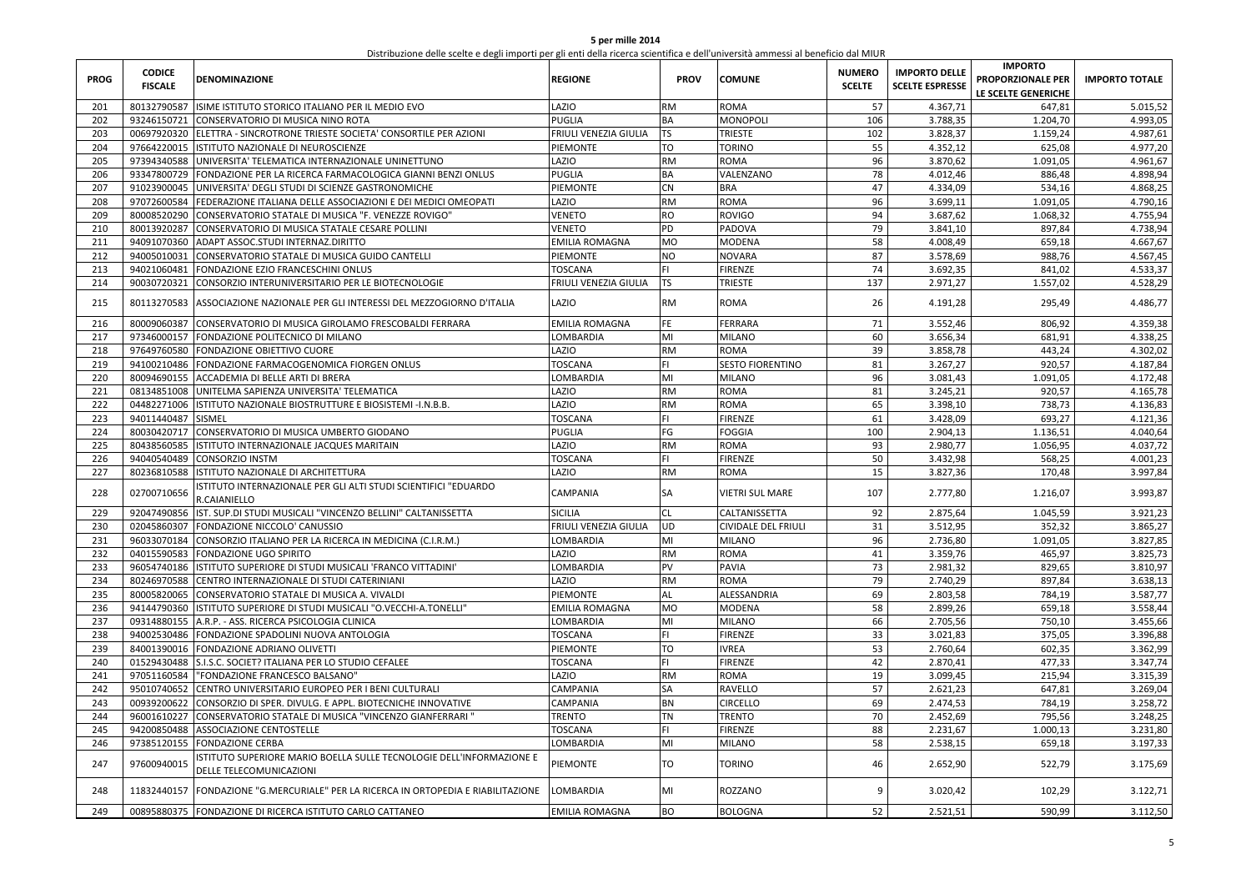| 5 per mille 2014                                                                                                                  |
|-----------------------------------------------------------------------------------------------------------------------------------|
| Distribuzione delle scelte e degli importi per gli enti della ricerca scientifica e dell'università ammessi al beneficio dal MIUR |

| <b>PROG</b> | <b>CODICE</b><br><b>FISCALE</b> | <b>DENOMINAZIONE</b>                                                                            | <b>REGIONE</b>        | PROV      | <b>COMUNE</b>              | <b>NUMERO</b><br><b>SCELTE</b> | <b>IMPORTO DELLE</b><br><b>SCELTE ESPRESSE</b> | <b>IMPORTO</b><br>PROPORZIONALE PER<br>LE SCELTE GENERICHE | <b>IMPORTO TOTALE</b> |
|-------------|---------------------------------|-------------------------------------------------------------------------------------------------|-----------------------|-----------|----------------------------|--------------------------------|------------------------------------------------|------------------------------------------------------------|-----------------------|
| 201         |                                 | 80132790587 ISIME ISTITUTO STORICO ITALIANO PER IL MEDIO EVO                                    | LAZIO                 | RM        | <b>ROMA</b>                | 57                             | 4.367,71                                       | 647,81                                                     | 5.015,52              |
| 202         | 93246150721                     | CONSERVATORIO DI MUSICA NINO ROTA                                                               | PUGLIA                | ВA        | <b>MONOPOLI</b>            | 106                            | 3.788,35                                       | 1.204,70                                                   | 4.993,05              |
| 203         |                                 | 00697920320 ELETTRA - SINCROTRONE TRIESTE SOCIETA' CONSORTILE PER AZIONI                        | FRIULI VENEZIA GIULIA | TS.       | <b>TRIESTE</b>             | 102                            | 3.828,37                                       | 1.159,24                                                   | 4.987,61              |
| 204         | 97664220015                     | ISTITUTO NAZIONALE DI NEUROSCIENZE                                                              | PIEMONTE              | TO        | <b>TORINO</b>              | 55                             | 4.352,12                                       | 625,08                                                     | 4.977,20              |
| 205         |                                 | 97394340588 UNIVERSITA' TELEMATICA INTERNAZIONALE UNINETTUNO                                    | LAZIO                 | RM        | <b>ROMA</b>                | 96                             | 3.870,62                                       | 1.091,05                                                   | 4.961,67              |
| 206         |                                 | 93347800729 FONDAZIONE PER LA RICERCA FARMACOLOGICA GIANNI BENZI ONLUS                          | PUGLIA                | BA        | VALENZANO                  | 78                             | 4.012.46                                       | 886,48                                                     | 4.898,94              |
| 207         |                                 | 91023900045 UNIVERSITA' DEGLI STUDI DI SCIENZE GASTRONOMICHE                                    | PIEMONTE              | CN        | <b>BRA</b>                 | 47                             | 4.334,09                                       | 534,16                                                     | 4.868,25              |
| 208         |                                 | 97072600584 FEDERAZIONE ITALIANA DELLE ASSOCIAZIONI E DEI MEDICI OMEOPATI                       | LAZIO                 | <b>RM</b> | <b>ROMA</b>                | 96                             | 3.699,11                                       | 1.091,05                                                   | 4.790,16              |
| 209         |                                 | 80008520290 CONSERVATORIO STATALE DI MUSICA "F. VENEZZE ROVIGO"                                 | VENETO                | <b>RO</b> | <b>ROVIGO</b>              | 94                             | 3.687,62                                       | 1.068,32                                                   | 4.755,94              |
| 210         |                                 | 80013920287 CONSERVATORIO DI MUSICA STATALE CESARE POLLINI                                      | VENETO                | PD        | PADOVA                     | 79                             | 3.841,10                                       | 897,84                                                     | 4.738,94              |
| 211         |                                 | 94091070360 ADAPT ASSOC.STUDI INTERNAZ.DIRITTO                                                  | EMILIA ROMAGNA        | MO        | <b>MODENA</b>              | 58                             | 4.008,49                                       | 659,18                                                     | 4.667,67              |
| 212         | 94005010031                     | CONSERVATORIO STATALE DI MUSICA GUIDO CANTELLI                                                  | PIEMONTE              | NO        | <b>NOVARA</b>              | 87                             | 3.578,69                                       | 988,76                                                     | 4.567,45              |
| 213         | 94021060481                     | FONDAZIONE EZIO FRANCESCHINI ONLUS                                                              | <b>TOSCANA</b>        | FL.       | <b>FIRENZE</b>             | 74                             | 3.692,35                                       | 841,02                                                     | 4.533,37              |
| 214         | 90030720321                     | CONSORZIO INTERUNIVERSITARIO PER LE BIOTECNOLOGIE                                               | FRIULI VENEZIA GIULIA | TS        | <b>TRIESTE</b>             | 137                            | 2.971,27                                       | 1.557,02                                                   | 4.528,29              |
| 215         | 80113270583                     | ASSOCIAZIONE NAZIONALE PER GLI INTERESSI DEL MEZZOGIORNO D'ITALIA                               | LAZIO                 | RM        | <b>ROMA</b>                | 26                             | 4.191,28                                       | 295,49                                                     | 4.486,77              |
| 216         |                                 | 80009060387 CONSERVATORIO DI MUSICA GIROLAMO FRESCOBALDI FERRARA                                | EMILIA ROMAGNA        | FE        | <b>FERRARA</b>             | 71                             | 3.552,46                                       | 806,92                                                     | 4.359,38              |
| 217         |                                 | 97346000157 FONDAZIONE POLITECNICO DI MILANO                                                    | LOMBARDIA             | MI        | <b>MILANO</b>              | 60                             | 3.656,34                                       | 681,91                                                     | 4.338,25              |
| 218         |                                 | 97649760580 FONDAZIONE OBIETTIVO CUORE                                                          | LAZIO                 | RM        | <b>ROMA</b>                | 39                             | 3.858,78                                       | 443,24                                                     | 4.302,02              |
| 219         |                                 | 94100210486 FONDAZIONE FARMACOGENOMICA FIORGEN ONLUS                                            | <b>TOSCANA</b>        | FL.       | <b>SESTO FIORENTINO</b>    | 81                             | 3.267,27                                       | 920,57                                                     | 4.187,84              |
| 220         |                                 | 80094690155 ACCADEMIA DI BELLE ARTI DI BRERA                                                    | OMBARDIA              | MI        | <b>MILANO</b>              | 96                             | 3.081.43                                       | 1.091,05                                                   | 4.172,48              |
| 221         |                                 | 08134851008 UNITELMA SAPIENZA UNIVERSITA' TELEMATICA                                            | OISA.                 | RM        | <b>ROMA</b>                | 81                             | 3.245,21                                       | 920,57                                                     | 4.165,78              |
| 222         |                                 | 04482271006 ISTITUTO NAZIONALE BIOSTRUTTURE E BIOSISTEMI - I.N.B.B.                             | OISA.                 | <b>RM</b> | <b>ROMA</b>                | 65                             | 3.398,10                                       | 738,73                                                     | 4.136,83              |
| 223         | 94011440487                     | <b>SISMEL</b>                                                                                   | <b>TOSCANA</b>        | FL.       | <b>FIRENZE</b>             | 61                             | 3.428,09                                       | 693,27                                                     | 4.121,36              |
| 224         | 80030420717                     | CONSERVATORIO DI MUSICA UMBERTO GIODANO                                                         | PUGLIA                | FG        | <b>FOGGIA</b>              | 100                            | 2.904.13                                       | 1.136,51                                                   | 4.040,64              |
| 225         | 80438560585                     | ISTITUTO INTERNAZIONALE JACQUES MARITAIN                                                        | OISA.                 | <b>RM</b> | <b>ROMA</b>                | 93                             | 2.980,77                                       | 1.056,95                                                   | 4.037,72              |
| 226         | 94040540489                     | <b>CONSORZIO INSTM</b>                                                                          | <b>TOSCANA</b>        | FL.       | <b>FIRENZE</b>             | 50                             | 3.432.98                                       | 568.25                                                     | 4.001,23              |
| 227         | 80236810588                     | ISTITUTO NAZIONALE DI ARCHITETTURA                                                              | LAZIO                 | RM        | <b>ROMA</b>                | 15                             | 3.827,36                                       | 170,48                                                     | 3.997,84              |
| 228         | 02700710656                     | ISTITUTO INTERNAZIONALE PER GLI ALTI STUDI SCIENTIFICI "EDUARDO<br><b>.CAIANIELLO</b>           | CAMPANIA              | SA        | <b>VIETRI SUL MARE</b>     | 107                            | 2.777,80                                       | 1.216,07                                                   | 3.993,87              |
| 229         | 92047490856                     | IST. SUP.DI STUDI MUSICALI "VINCENZO BELLINI" CALTANISSETTA                                     | <b>SICILIA</b>        | CL        | <b>CALTANISSETTA</b>       | 92                             | 2.875,64                                       | 1.045,59                                                   | 3.921,23              |
| 230         |                                 | 02045860307 FONDAZIONE NICCOLO' CANUSSIO                                                        | FRIULI VENEZIA GIULIA | UD        | <b>CIVIDALE DEL FRIULI</b> | 31                             | 3.512,95                                       | 352,32                                                     | 3.865,27              |
| 231         | 96033070184                     | CONSORZIO ITALIANO PER LA RICERCA IN MEDICINA (C.I.R.M.)                                        | LOMBARDIA             | MI        | <b>MILANO</b>              | 96                             | 2.736,80                                       | 1.091,05                                                   | 3.827,85              |
| 232         | 04015590583                     | FONDAZIONE UGO SPIRITO                                                                          | <b>AZIO</b>           | RM        | <b>ROMA</b>                | 41                             | 3.359,76                                       | 465,97                                                     | 3.825,73              |
| 233         |                                 | 96054740186 ISTITUTO SUPERIORE DI STUDI MUSICALI 'FRANCO VITTADINI'                             | LOMBARDIA             | PV        | PAVIA                      | 73                             | 2.981,32                                       | 829,65                                                     | 3.810,97              |
| 234         |                                 | 80246970588 CENTRO INTERNAZIONALE DI STUDI CATERINIANI                                          | LAZIO                 | <b>RM</b> | <b>ROMA</b>                | 79                             | 2.740.29                                       | 897,84                                                     | 3.638,13              |
| 235         |                                 | 80005820065 CONSERVATORIO STATALE DI MUSICA A. VIVALDI                                          | PIEMONTE              | AL        | ALESSANDRIA                | 69                             | 2.803.58                                       | 784,19                                                     | 3.587,77              |
| 236         |                                 | 94144790360 ISTITUTO SUPERIORE DI STUDI MUSICALI "O.VECCHI-A.TONELLI"                           | EMILIA ROMAGNA        | MO        | <b>MODENA</b>              | 58                             | 2.899,26                                       | 659,18                                                     | 3.558,44              |
| 237         |                                 | 09314880155 A.R.P. - ASS. RICERCA PSICOLOGIA CLINICA                                            | LOMBARDIA             | MI        | <b>MILANO</b>              | 66                             | 2.705,56                                       | 750,10                                                     | 3.455,66              |
| 238         |                                 | 94002530486 FONDAZIONE SPADOLINI NUOVA ANTOLOGIA                                                | TOSCANA               | FL.       | <b>FIRENZE</b>             | 33                             | 3.021,83                                       | 375,05                                                     | 3.396,88              |
| 239         |                                 | 84001390016 FONDAZIONE ADRIANO OLIVETTI                                                         | PIEMONTE              | TO        | <b>IVREA</b>               | 53                             | 2.760,64                                       | 602,35                                                     | 3.362,99              |
| 240         | 01529430488                     | S.I.S.C. SOCIET? ITALIANA PER LO STUDIO CEFALEE                                                 | <b>TOSCANA</b>        | FI.       | <b>FIRENZE</b>             | 42                             | 2.870,41                                       | 477,33                                                     | 3.347,74              |
| 241         | 97051160584                     | "FONDAZIONE FRANCESCO BALSANO"                                                                  | LAZIO                 | RM        | <b>ROMA</b>                | 19                             | 3.099,45                                       | 215,94                                                     | 3.315,39              |
| 242         | 95010740652                     | CENTRO UNIVERSITARIO EUROPEO PER I BENI CULTURALI                                               | CAMPANIA              | SA        | <b>RAVELLO</b>             | 57                             | 2.621,23                                       | 647,81                                                     | 3.269,04              |
| 243         | 00939200622                     | CONSORZIO DI SPER. DIVULG. E APPL. BIOTECNICHE INNOVATIVE                                       | CAMPANIA              | ΒN        | <b>CIRCELLO</b>            | 69                             | 2.474,53                                       | 784,19                                                     | 3.258,72              |
| 244         |                                 | 96001610227 CONSERVATORIO STATALE DI MUSICA "VINCENZO GIANFERRARI                               | <b>TRENTO</b>         | <b>TN</b> | <b>TRENTO</b>              | 70                             | 2.452.69                                       | 795,56                                                     | 3.248,25              |
| 245         |                                 | 94200850488 ASSOCIAZIONE CENTOSTELLE                                                            | <b><i>FOSCANA</i></b> | FI        | <b>FIRENZE</b>             | 88                             | 2.231,67                                       | 1.000,13                                                   | 3.231,80              |
| 246         |                                 | 97385120155 FONDAZIONE CERBA                                                                    | LOMBARDIA             | MI        | <b>MILANO</b>              | 58                             | 2.538,15                                       | 659,18                                                     | 3.197,33              |
|             |                                 |                                                                                                 |                       |           |                            |                                |                                                |                                                            |                       |
| 247         | 97600940015                     | ISTITUTO SUPERIORE MARIO BOELLA SULLE TECNOLOGIE DELL'INFORMAZIONE E<br>DELLE TELECOMUNICAZIONI | PIEMONTE              | TO        | <b>TORINO</b>              | 46                             | 2.652,90                                       | 522,79                                                     | 3.175,69              |
| 248         | 11832440157                     | FONDAZIONE "G.MERCURIALE" PER LA RICERCA IN ORTOPEDIA E RIABILITAZIONE                          | LOMBARDIA             | MI        | ROZZANO                    | 9                              | 3.020,42                                       | 102,29                                                     | 3.122,71              |
| 249         |                                 | 00895880375 FONDAZIONE DI RICERCA ISTITUTO CARLO CATTANEO                                       | EMILIA ROMAGNA        | ВO        | <b>BOLOGNA</b>             | 52                             | 2.521,51                                       | 590,99                                                     | 3.112,50              |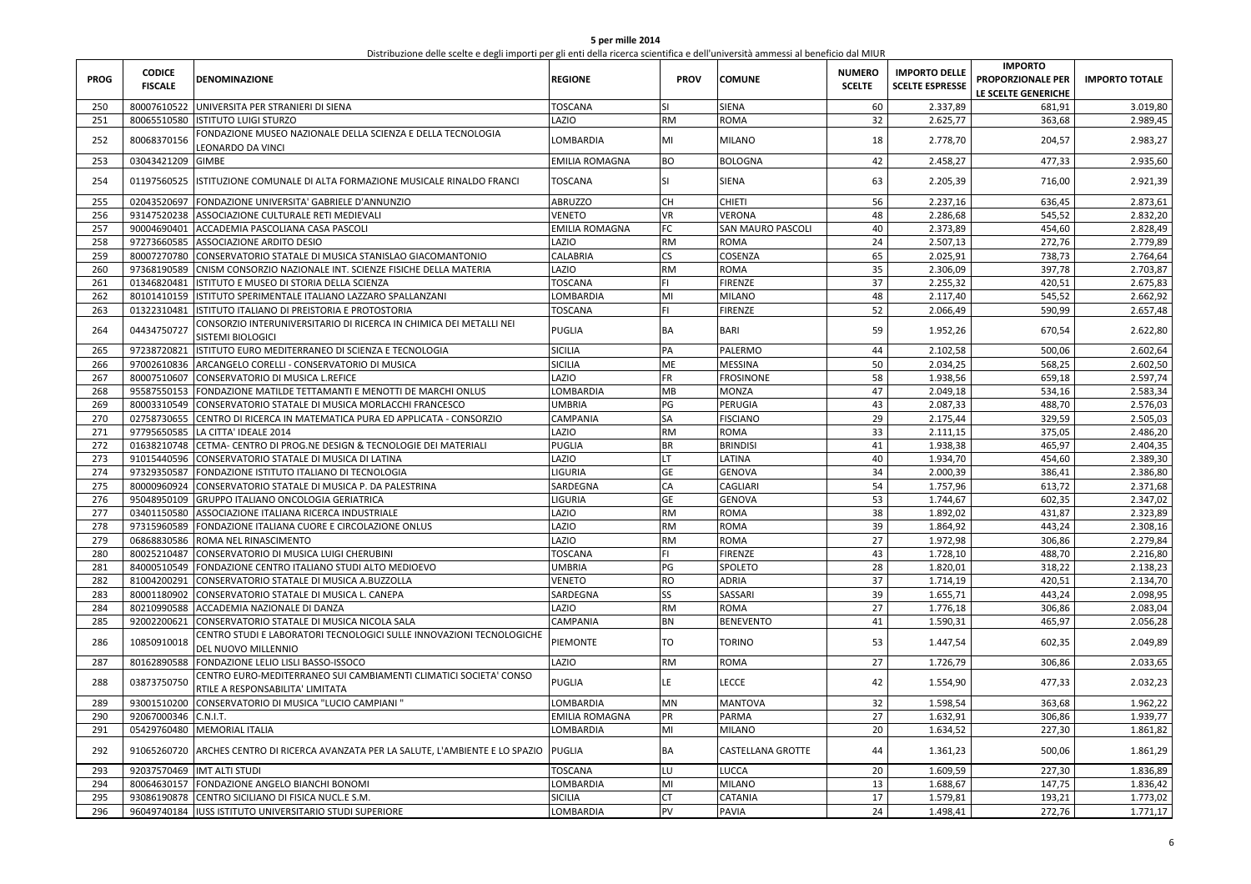| 5 per mille 2014                                                                                                                  |  |  |  |  |  |  |  |  |  |  |
|-----------------------------------------------------------------------------------------------------------------------------------|--|--|--|--|--|--|--|--|--|--|
| Distribuzione delle scelte e degli importi per gli enti della ricerca scientifica e dell'università ammessi al beneficio dal MIUR |  |  |  |  |  |  |  |  |  |  |
|                                                                                                                                   |  |  |  |  |  |  |  |  |  |  |

| <b>PROG</b> | <b>CODICE</b><br><b>FISCALE</b> | <b>DENOMINAZIONE</b>                                                                                  | <b>REGIONE</b>        | <b>PROV</b> | <b>COMUNE</b>            | <b>NUMERO</b><br><b>SCELTE</b> | <b>IMPORTO DELLE</b><br><b>SCELTE ESPRESSE</b> | <b>IMPORTO</b><br>PROPORZIONALE PER<br>LE SCELTE GENERICHE | <b>IMPORTO TOTALE</b> |
|-------------|---------------------------------|-------------------------------------------------------------------------------------------------------|-----------------------|-------------|--------------------------|--------------------------------|------------------------------------------------|------------------------------------------------------------|-----------------------|
| 250         |                                 | 80007610522 UNIVERSITA PER STRANIERI DI SIENA                                                         | TOSCANA               | ςı          | <b>SIENA</b>             | 60                             | 2.337,89                                       | 681,91                                                     | 3.019,80              |
| 251         |                                 | 80065510580 ISTITUTO LUIGI STURZO                                                                     | LAZIO                 | <b>RM</b>   | <b>ROMA</b>              | 32                             | 2.625,77                                       | 363,68                                                     | 2.989,45              |
| 252         | 80068370156                     | FONDAZIONE MUSEO NAZIONALE DELLA SCIENZA E DELLA TECNOLOGIA<br>LEONARDO DA VINCI                      | LOMBARDIA             | MI          | <b>MILANO</b>            | 18                             | 2.778,70                                       | 204,57                                                     | 2.983,27              |
| 253         | 03043421209                     | <b>GIMBE</b>                                                                                          | EMILIA ROMAGNA        | BO          | <b>BOLOGNA</b>           | 42                             | 2.458,27                                       | 477,33                                                     | 2.935,60              |
| 254         | 01197560525                     | ISTITUZIONE COMUNALE DI ALTA FORMAZIONE MUSICALE RINALDO FRANCI                                       | <b>TOSCANA</b>        | <b>SI</b>   | <b>SIENA</b>             | 63                             | 2.205,39                                       | 716,00                                                     | 2.921,39              |
| 255         | 02043520697                     | FONDAZIONE UNIVERSITA' GABRIELE D'ANNUNZIO                                                            | <b>ABRUZZO</b>        | CH          | <b>CHIETI</b>            | 56                             | 2.237,16                                       | 636,45                                                     | 2.873,61              |
| 256         | 93147520238                     | ASSOCIAZIONE CULTURALE RETI MEDIEVALI                                                                 | <b>VENETO</b>         | <b>VR</b>   | <b>VERONA</b>            | 48                             | 2.286,68                                       | 545,52                                                     | 2.832,20              |
| 257         | 90004690401                     | ACCADEMIA PASCOLIANA CASA PASCOLI                                                                     | <b>EMILIA ROMAGNA</b> | FC          | <b>SAN MAURO PASCOLI</b> | 40                             | 2.373,89                                       | 454,60                                                     | 2.828,49              |
| 258         |                                 | 97273660585 ASSOCIAZIONE ARDITO DESIO                                                                 | LAZIO                 | <b>RM</b>   | <b>ROMA</b>              | 24                             | 2.507,13                                       | 272,76                                                     | 2.779,89              |
| 259         | 80007270780                     | CONSERVATORIO STATALE DI MUSICA STANISLAO GIACOMANTONIO                                               | CALABRIA              | CS          | COSENZA                  | 65                             | 2.025,91                                       | 738,73                                                     | 2.764,64              |
| 260         | 97368190589                     | CNISM CONSORZIO NAZIONALE INT. SCIENZE FISICHE DELLA MATERIA                                          | LAZIO                 | RM          | <b>ROMA</b>              | 35                             | 2.306,09                                       | 397,78                                                     | 2.703,87              |
| 261         | 01346820481                     | ISTITUTO E MUSEO DI STORIA DELLA SCIENZA                                                              | TOSCANA               | FI.         | <b>FIRENZE</b>           | 37                             | 2.255,32                                       | 420,51                                                     | 2.675,83              |
| 262         | 80101410159                     | ISTITUTO SPERIMENTALE ITALIANO LAZZARO SPALLANZANI                                                    | LOMBARDIA             | MI          | <b>MILANO</b>            | 48                             | 2.117,40                                       | 545,52                                                     | 2.662,92              |
| 263         | 01322310481                     | ISTITUTO ITALIANO DI PREISTORIA E PROTOSTORIA                                                         | TOSCANA               | FI.         | <b>FIRENZE</b>           | 52                             | 2.066,49                                       | 590,99                                                     | 2.657,48              |
| 264         | 04434750727                     | CONSORZIO INTERUNIVERSITARIO DI RICERCA IN CHIMICA DEI METALLI NEI<br>SISTEMI BIOLOGICI               | <b>PUGLIA</b>         | BA          | <b>BARI</b>              | 59                             | 1.952,26                                       | 670,54                                                     | 2.622,80              |
| 265         | 97238720821                     | ISTITUTO EURO MEDITERRANEO DI SCIENZA E TECNOLOGIA                                                    | <b>SICILIA</b>        | PA          | PALERMO                  | 44                             | 2.102,58                                       | 500,06                                                     | 2.602,64              |
| 266         | 97002610836                     | ARCANGELO CORELLI - CONSERVATORIO DI MUSICA                                                           | SICILIA               | ME          | <b>MESSINA</b>           | 50                             | 2.034,25                                       | 568,25                                                     | 2.602,50              |
| 267         | 80007510607                     | CONSERVATORIO DI MUSICA L.REFICE                                                                      | LAZIO                 | <b>FR</b>   | <b>FROSINONE</b>         | 58                             | 1.938,56                                       | 659,18                                                     | 2.597,74              |
| 268         | 95587550153                     | FONDAZIONE MATILDE TETTAMANTI E MENOTTI DE MARCHI ONLUS                                               | LOMBARDIA             | MB          | <b>MONZA</b>             | 47                             | 2.049,18                                       | 534,16                                                     | 2.583,34              |
| 269         |                                 | 80003310549 CONSERVATORIO STATALE DI MUSICA MORLACCHI FRANCESCO                                       | <b>UMBRIA</b>         | PG          | <b>PERUGIA</b>           | 43                             | 2.087,33                                       | 488,70                                                     | 2.576,03              |
| 270         | 02758730655                     | CENTRO DI RICERCA IN MATEMATICA PURA ED APPLICATA - CONSORZIO                                         | CAMPANIA              | SA          | <b>FISCIANO</b>          | 29                             | 2.175,44                                       | 329,59                                                     | 2.505,03              |
| 271         | 97795650585                     | LA CITTA' IDEALE 2014                                                                                 | LAZIO                 | RM          | <b>ROMA</b>              | 33                             | 2.111,15                                       | 375,05                                                     | 2.486,20              |
| 272         |                                 | 01638210748 CETMA- CENTRO DI PROG.NE DESIGN & TECNOLOGIE DEI MATERIALI                                | <b>PUGLIA</b>         | BR          | <b>BRINDISI</b>          | 41                             | 1.938,38                                       | 465,97                                                     | 2.404,35              |
| 273         | 91015440596                     | CONSERVATORIO STATALE DI MUSICA DI LATINA                                                             | LAZIO                 | LT.         | LATINA                   | 40                             | 1.934,70                                       | 454,60                                                     | 2.389,30              |
| 274         | 97329350587                     | FONDAZIONE ISTITUTO ITALIANO DI TECNOLOGIA                                                            | LIGURIA               | GE          | <b>GENOVA</b>            | 34                             | 2.000,39                                       | 386,41                                                     | 2.386,80              |
| 275         | 80000960924                     | CONSERVATORIO STATALE DI MUSICA P. DA PALESTRINA                                                      | SARDEGNA              | CA          | <b>CAGLIARI</b>          | 54                             | 1.757,96                                       | 613,72                                                     | 2.371,68              |
| 276         | 95048950109                     | GRUPPO ITALIANO ONCOLOGIA GERIATRICA                                                                  | LIGURIA               | GE          | <b>GENOVA</b>            | 53                             | 1.744,67                                       | 602,35                                                     | 2.347,02              |
| 277         | 03401150580                     | ASSOCIAZIONE ITALIANA RICERCA INDUSTRIALE                                                             | LAZIO                 | <b>RM</b>   | <b>ROMA</b>              | 38                             | 1.892,02                                       | 431,87                                                     | 2.323,89              |
| 278         |                                 | 97315960589 FONDAZIONE ITALIANA CUORE E CIRCOLAZIONE ONLUS                                            | LAZIO                 | <b>RM</b>   | <b>ROMA</b>              | 39                             | 1.864,92                                       | 443,24                                                     | 2.308,16              |
| 279         | 06868830586                     | ROMA NEL RINASCIMENTO                                                                                 | LAZIO                 | <b>RM</b>   | <b>ROMA</b>              | 27                             | 1.972,98                                       | 306,86                                                     | 2.279,84              |
| 280         | 80025210487                     | CONSERVATORIO DI MUSICA LUIGI CHERUBINI                                                               | TOSCANA               | FI.         | <b>FIRENZE</b>           | 43                             | 1.728,10                                       | 488,70                                                     | 2.216,80              |
| 281         |                                 | 84000510549 FONDAZIONE CENTRO ITALIANO STUDI ALTO MEDIOEVO                                            | <b>UMBRIA</b>         | PG          | SPOLETO                  | 28                             | 1.820,01                                       | 318,22                                                     | 2.138,23              |
| 282         | 81004200291                     | CONSERVATORIO STATALE DI MUSICA A.BUZZOLLA                                                            | <b>VENETO</b>         | <b>RO</b>   | <b>ADRIA</b>             | 37                             | 1.714,19                                       | 420,51                                                     | 2.134,70              |
| 283         | 80001180902                     | CONSERVATORIO STATALE DI MUSICA L. CANEPA                                                             | SARDEGNA              | SS          | SASSARI                  | 39                             | 1.655,71                                       | 443,24                                                     | 2.098,95              |
| 284         | 80210990588                     | ACCADEMIA NAZIONALE DI DANZA                                                                          | LAZIO                 | <b>RM</b>   | <b>ROMA</b>              | 27                             | 1.776,18                                       | 306,86                                                     | 2.083,04              |
| 285         | 92002200621                     | CONSERVATORIO STATALE DI MUSICA NICOLA SALA                                                           | CAMPANIA              | <b>BN</b>   | <b>BENEVENTO</b>         | 41                             | 1.590,31                                       | 465,97                                                     | 2.056,28              |
| 286         | 10850910018                     | CENTRO STUDI E LABORATORI TECNOLOGICI SULLE INNOVAZIONI TECNOLOGICHE<br>DEL NUOVO MILLENNIO           | PIEMONTE              | <b>TO</b>   | <b>TORINO</b>            | 53                             | 1.447,54                                       | 602,35                                                     | 2.049,89              |
| 287         | 80162890588                     | FONDAZIONE LELIO LISLI BASSO-ISSOCO                                                                   | LAZIO                 | <b>RM</b>   | <b>ROMA</b>              | 27                             | 1.726,79                                       | 306,86                                                     | 2.033,65              |
| 288         | 03873750750                     | CENTRO EURO-MEDITERRANEO SUI CAMBIAMENTI CLIMATICI SOCIETA' CONSO<br>RTILE A RESPONSABILITA' LIMITATA | <b>PUGLIA</b>         | LE          | <b>LECCE</b>             | 42                             | 1.554,90                                       | 477,33                                                     | 2.032,23              |
| 289         | 93001510200                     | CONSERVATORIO DI MUSICA "LUCIO CAMPIANI                                                               | LOMBARDIA             | MN          | <b>MANTOVA</b>           | 32                             | 1.598,54                                       | 363,68                                                     | 1.962,22              |
| 290         | 92067000346                     | C.N.I.T.                                                                                              | EMILIA ROMAGNA        | PR          | <b>PARMA</b>             | 27                             | 1.632,91                                       | 306,86                                                     | 1.939,77              |
| 291         |                                 | 05429760480 MEMORIAL ITALIA                                                                           | LOMBARDIA             | MI          | <b>MILANO</b>            | 20                             | 1.634,52                                       | 227,30                                                     | 1.861,82              |
| 292         | 91065260720                     | ARCHES CENTRO DI RICERCA AVANZATA PER LA SALUTE, L'AMBIENTE E LO SPAZIO                               | <b>PUGLIA</b>         | BA          | <b>CASTELLANA GROTTE</b> | 44                             | 1.361,23                                       | 500,06                                                     | 1.861,29              |
| 293         |                                 | 92037570469  IMT ALTI STUDI                                                                           | TOSCANA               | LU          | <b>LUCCA</b>             | 20                             | 1.609,59                                       | 227,30                                                     | 1.836,89              |
| 294         | 80064630157                     | FONDAZIONE ANGELO BIANCHI BONOMI                                                                      | LOMBARDIA             | MI          | <b>MILANO</b>            | 13                             | 1.688,67                                       | 147,75                                                     | 1.836,42              |
| 295         | 93086190878                     | CENTRO SICILIANO DI FISICA NUCL.E S.M.                                                                | SICILIA               | <b>CT</b>   | <b>CATANIA</b>           | 17                             | 1.579,81                                       | 193,21                                                     | 1.773,02              |
| 296         |                                 | 96049740184 IUSS ISTITUTO UNIVERSITARIO STUDI SUPERIORE                                               | LOMBARDIA             | PV          | PAVIA                    | 24                             | 1.498,41                                       | 272,76                                                     | 1.771,17              |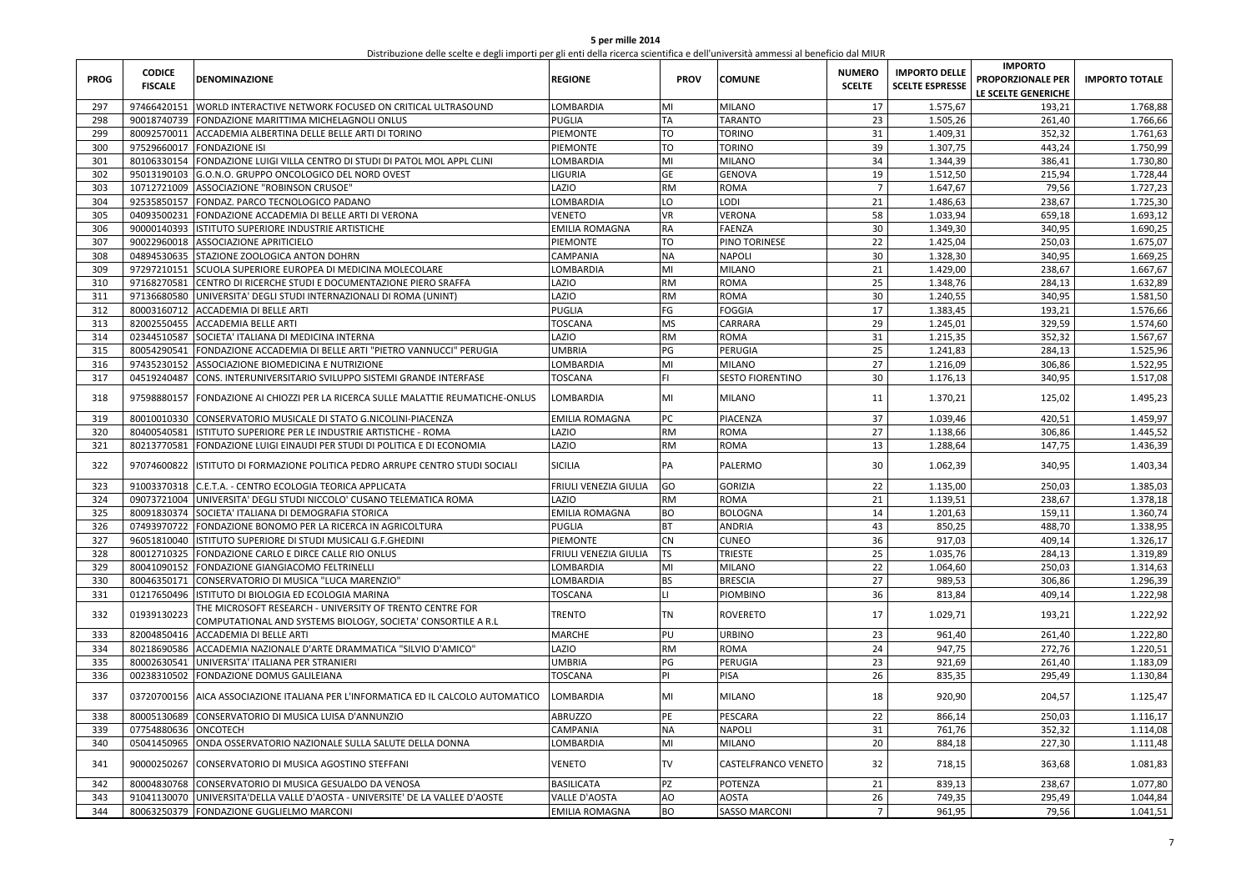| 5 per mille 2014                                                                                                                  |
|-----------------------------------------------------------------------------------------------------------------------------------|
| Distribuzione delle scelte e degli importi per gli enti della ricerca scientifica e dell'università ammessi al beneficio dal MIUR |

| <b>PROG</b> | <b>CODICE</b><br><b>FISCALE</b> | <b>DENOMINAZIONE</b>                                                                                                     | <b>REGIONE</b>        | <b>PROV</b> | <b>COMUNE</b>           | <b>NUMERO</b><br><b>SCELTE</b> | <b>IMPORTO DELLE</b><br><b>SCELTE ESPRESSE</b> | <b>IMPORTO</b><br>PROPORZIONALE PER<br>LE SCELTE GENERICHE | <b>IMPORTO TOTALE</b> |
|-------------|---------------------------------|--------------------------------------------------------------------------------------------------------------------------|-----------------------|-------------|-------------------------|--------------------------------|------------------------------------------------|------------------------------------------------------------|-----------------------|
| 297         | 97466420151                     | WORLD INTERACTIVE NETWORK FOCUSED ON CRITICAL ULTRASOUND                                                                 | LOMBARDIA             | MI          | <b>MILANO</b>           | 17                             | 1.575,67                                       | 193,21                                                     | 1.768,88              |
| 298         |                                 | 90018740739 FONDAZIONE MARITTIMA MICHELAGNOLI ONLUS                                                                      | PUGLIA                | TA          | <b>TARANTO</b>          | 23                             | 1.505,26                                       | 261,40                                                     | 1.766,66              |
| 299         | 80092570011                     | ACCADEMIA ALBERTINA DELLE BELLE ARTI DI TORINO                                                                           | PIEMONTE              | TO          | <b>TORINO</b>           | 31                             | 1.409,31                                       | 352,32                                                     | 1.761,63              |
| 300         |                                 | 97529660017 FONDAZIONE ISI                                                                                               | PIEMONTE              | TO          | <b>TORINO</b>           | 39                             | 1.307,75                                       | 443,24                                                     | 1.750,99              |
| 301         | 80106330154                     | FONDAZIONE LUIGI VILLA CENTRO DI STUDI DI PATOL MOL APPL CLINI                                                           | LOMBARDIA             | MI          | <b>MILANO</b>           | 34                             | 1.344,39                                       | 386,41                                                     | 1.730,80              |
| 302         | 95013190103                     | G.O.N.O. GRUPPO ONCOLOGICO DEL NORD OVEST                                                                                | <b>IGURIA</b>         | GE          | <b>GENOVA</b>           | 19                             | 1.512,50                                       | 215,94                                                     | 1.728,44              |
| 303         | 10712721009                     | ASSOCIAZIONE "ROBINSON CRUSOE"                                                                                           | LAZIO                 | <b>RM</b>   | ROMA                    | $\overline{7}$                 | 1.647,67                                       | 79,56                                                      | 1.727,23              |
| 304         | 92535850157                     | FONDAZ. PARCO TECNOLOGICO PADANO                                                                                         | LOMBARDIA             | LO          | LODI                    | 21                             | 1.486,63                                       | 238,67                                                     | 1.725,30              |
| 305         | 04093500231                     | FONDAZIONE ACCADEMIA DI BELLE ARTI DI VERONA                                                                             | <b>VENETO</b>         | VR          | VERONA                  | 58                             | 1.033,94                                       | 659,18                                                     | 1.693,12              |
| 306         | 90000140393                     | ISTITUTO SUPERIORE INDUSTRIE ARTISTICHE                                                                                  | EMILIA ROMAGNA        | RA          | FAENZA                  | 30                             | 1.349,30                                       | 340,95                                                     | 1.690,25              |
| 307         |                                 | 90022960018 ASSOCIAZIONE APRITICIELO                                                                                     | PIEMONTE              | TO          | PINO TORINESE           | 22                             | 1.425,04                                       | 250,03                                                     | 1.675,07              |
| 308         | 04894530635                     | STAZIONE ZOOLOGICA ANTON DOHRN                                                                                           | CAMPANIA              | <b>NA</b>   | NAPOLI                  | 30                             | 1.328,30                                       | 340.95                                                     | 1.669,25              |
| 309         | 97297210151                     | SCUOLA SUPERIORE EUROPEA DI MEDICINA MOLECOLARE                                                                          | LOMBARDIA             | MI          | <b>MILANO</b>           | 21                             | 1.429,00                                       | 238,67                                                     | 1.667,67              |
| 310         | 97168270581                     | CENTRO DI RICERCHE STUDI E DOCUMENTAZIONE PIERO SRAFFA                                                                   | LAZIO                 | <b>RM</b>   | ROMA                    | 25                             | 1.348,76                                       | 284,13                                                     | 1.632,89              |
| 311         | 97136680580                     | UNIVERSITA' DEGLI STUDI INTERNAZIONALI DI ROMA (UNINT)                                                                   | <b>AZIO</b>           | <b>RM</b>   | ROMA                    | 30                             | 1.240,55                                       | 340.95                                                     | 1.581,50              |
| 312         | 80003160712                     | <b>ACCADEMIA DI BELLE ARTI</b>                                                                                           | PUGLIA                | FG          | FOGGIA                  | 17                             | 1.383,45                                       | 193,21                                                     | 1.576,66              |
| 313         |                                 | 82002550455 ACCADEMIA BELLE ARTI                                                                                         | <b>TOSCANA</b>        | <b>MS</b>   | CARRARA                 | 29                             | 1.245,01                                       | 329,59                                                     | 1.574,60              |
| 314         | 02344510587                     | SOCIETA' ITALIANA DI MEDICINA INTERNA                                                                                    | <b>AZIO</b>           | RM          | ROMA                    | 31                             | 1.215,35                                       | 352,32                                                     | 1.567,67              |
| 315         | 80054290541                     | FONDAZIONE ACCADEMIA DI BELLE ARTI "PIETRO VANNUCCI" PERUGIA                                                             | UMBRIA                | PG          | PERUGIA                 | 25                             | 1.241,83                                       | 284,13                                                     | 1.525,96              |
| 316         | 97435230152                     | ASSOCIAZIONE BIOMEDICINA E NUTRIZIONE                                                                                    | <b>LOMBARDIA</b>      | MI          | <b>MILANO</b>           | 27                             | 1.216,09                                       | 306,86                                                     | 1.522,95              |
| 317         | 04519240487                     | CONS. INTERUNIVERSITARIO SVILUPPO SISTEMI GRANDE INTERFASE                                                               | <b>TOSCANA</b>        | FI.         | <b>SESTO FIORENTINO</b> | 30                             | 1.176,13                                       | 340,95                                                     | 1.517,08              |
| 318         | 97598880157                     | FONDAZIONE AI CHIOZZI PER LA RICERCA SULLE MALATTIE REUMATICHE-ONLUS                                                     | LOMBARDIA             | MI          | <b>MILANO</b>           | 11                             | 1.370,21                                       | 125,02                                                     | 1.495,23              |
| 319         | 80010010330                     | CONSERVATORIO MUSICALE DI STATO G.NICOLINI-PIACENZA                                                                      | EMILIA ROMAGNA        | PC          | PIACENZA                | 37                             | 1.039,46                                       | 420,51                                                     | 1.459,97              |
| 320         | 80400540581                     | ISTITUTO SUPERIORE PER LE INDUSTRIE ARTISTICHE - ROMA                                                                    | LAZIO                 | RM          | ROMA                    | 27                             | 1.138,66                                       | 306,86                                                     | 1.445,52              |
| 321         |                                 | 80213770581 FONDAZIONE LUIGI EINAUDI PER STUDI DI POLITICA E DI ECONOMIA                                                 | LAZIO                 | RM          | ROMA                    | 13                             | 1.288,64                                       | 147,75                                                     | 1.436,39              |
| 322         | 97074600822                     | ISTITUTO DI FORMAZIONE POLITICA PEDRO ARRUPE CENTRO STUDI SOCIALI                                                        | SICILIA               | PA          | PALERMO                 | 30                             | 1.062,39                                       | 340,95                                                     | 1.403,34              |
| 323         |                                 | 91003370318 C.E.T.A. - CENTRO ECOLOGIA TEORICA APPLICATA                                                                 | FRIULI VENEZIA GIULIA | GO          | <b>GORIZIA</b>          | 22                             | 1.135,00                                       | 250,03                                                     | 1.385,03              |
| 324         | 09073721004                     | UNIVERSITA' DEGLI STUDI NICCOLO' CUSANO TELEMATICA ROMA                                                                  | <b>AZIO</b>           | RM          | ROMA                    | 21                             | 1.139,51                                       | 238,67                                                     | 1.378,18              |
| 325         |                                 | 80091830374 SOCIETA' ITALIANA DI DEMOGRAFIA STORICA                                                                      | EMILIA ROMAGNA        | BО          | <b>BOLOGNA</b>          | 14                             | 1.201,63                                       | 159,11                                                     | 1.360,74              |
| 326         |                                 | 07493970722 FONDAZIONE BONOMO PER LA RICERCA IN AGRICOLTURA                                                              | PUGLIA                | <b>BT</b>   | <b>ANDRIA</b>           | 43                             | 850,25                                         | 488,70                                                     | 1.338,95              |
| 327         | 96051810040                     | ISTITUTO SUPERIORE DI STUDI MUSICALI G.F.GHEDINI                                                                         | PIEMONTE              | <b>CN</b>   | <b>CUNEO</b>            | 36                             | 917,03                                         | 409,14                                                     | 1.326,17              |
| 328         |                                 | 80012710325 FONDAZIONE CARLO E DIRCE CALLE RIO ONLUS                                                                     | FRIULI VENEZIA GIULIA | TS          | <b>TRIESTE</b>          | 25                             | 1.035,76                                       | 284,13                                                     | 1.319,89              |
| 329         |                                 | 80041090152 FONDAZIONE GIANGIACOMO FELTRINELLI                                                                           | LOMBARDIA             | MI          | <b>MILANO</b>           | 22                             | 1.064,60                                       | 250,03                                                     | 1.314,63              |
| 330         | 80046350171                     | CONSERVATORIO DI MUSICA "LUCA MARENZIO"                                                                                  | LOMBARDIA             | <b>BS</b>   | <b>BRESCIA</b>          | 27                             | 989,53                                         | 306,86                                                     | 1.296,39              |
| 331         |                                 | 01217650496 ISTITUTO DI BIOLOGIA ED ECOLOGIA MARINA                                                                      | TOSCANA               | п           | <b>PIOMBINO</b>         | 36                             | 813,84                                         | 409,14                                                     | 1.222,98              |
| 332         | 01939130223                     | THE MICROSOFT RESEARCH - UNIVERSITY OF TRENTO CENTRE FOR<br>COMPUTATIONAL AND SYSTEMS BIOLOGY, SOCIETA' CONSORTILE A R.L | TRENTO                | TN          | <b>ROVERETO</b>         | 17                             | 1.029,71                                       | 193,21                                                     | 1.222,92              |
| 333         |                                 | 82004850416 ACCADEMIA DI BELLE ARTI                                                                                      | MARCHE                | PU          | <b>URBINO</b>           | 23                             | 961,40                                         | 261,40                                                     | 1.222,80              |
| 334         |                                 | 80218690586 ACCADEMIA NAZIONALE D'ARTE DRAMMATICA "SILVIO D'AMICO"                                                       | LAZIO                 | RM          | ROMA                    | 24                             | 947,75                                         | 272,76                                                     | 1.220,51              |
| 335         | 80002630541                     | UNIVERSITA' ITALIANA PER STRANIERI                                                                                       | UMBRIA                | PG          | PERUGIA                 | 23                             | 921,69                                         | 261,40                                                     | 1.183,09              |
| 336         | 00238310502                     | FONDAZIONE DOMUS GALILEIANA                                                                                              | TOSCANA               | PI          | PISA                    | 26                             | 835,35                                         | 295,49                                                     | 1.130,84              |
| 337         | 03720700156                     | AICA ASSOCIAZIONE ITALIANA PER L'INFORMATICA ED IL CALCOLO AUTOMATICO                                                    | LOMBARDIA             | MI          | <b>MILANO</b>           | 18                             | 920,90                                         | 204,57                                                     | 1.125,47              |
| 338         |                                 | 80005130689 CONSERVATORIO DI MUSICA LUISA D'ANNUNZIO                                                                     | ABRUZZO               | PE          | PESCARA                 | 22                             | 866,14                                         | 250,03                                                     | 1.116,17              |
| 339         | 07754880636 ONCOTECH            |                                                                                                                          | CAMPANIA              | NΑ          | NAPOLI                  | 31                             | 761,76                                         | 352,32                                                     | 1.114,08              |
| 340         |                                 | 05041450965 ONDA OSSERVATORIO NAZIONALE SULLA SALUTE DELLA DONNA                                                         | LOMBARDIA             | MI          | <b>MILANO</b>           | 20                             | 884,18                                         | 227,30                                                     | 1.111,48              |
|             |                                 |                                                                                                                          |                       |             |                         |                                |                                                |                                                            |                       |
| 341         | 90000250267                     | CONSERVATORIO DI MUSICA AGOSTINO STEFFANI                                                                                | <b>VENETO</b>         | <b>TV</b>   | CASTELFRANCO VENETO     | 32                             | 718,15                                         | 363,68                                                     | 1.081,83              |
| 342         | 80004830768                     | CONSERVATORIO DI MUSICA GESUALDO DA VENOSA                                                                               | BASILICATA            | PZ          | POTENZA                 | 21                             | 839,13                                         | 238,67                                                     | 1.077,80              |
| 343         | 91041130070                     | UNIVERSITA'DELLA VALLE D'AOSTA - UNIVERSITE' DE LA VALLEE D'AOSTE                                                        | <b>VALLE D'AOSTA</b>  | AO          | <b>AOSTA</b>            | 26                             | 749,35                                         | 295,49                                                     | 1.044,84              |
| 344         |                                 | 80063250379 FONDAZIONE GUGLIELMO MARCONI                                                                                 | <b>EMILIA ROMAGNA</b> | BO          | <b>SASSO MARCONI</b>    | $\overline{7}$                 | 961,95                                         | 79,56                                                      | 1.041,51              |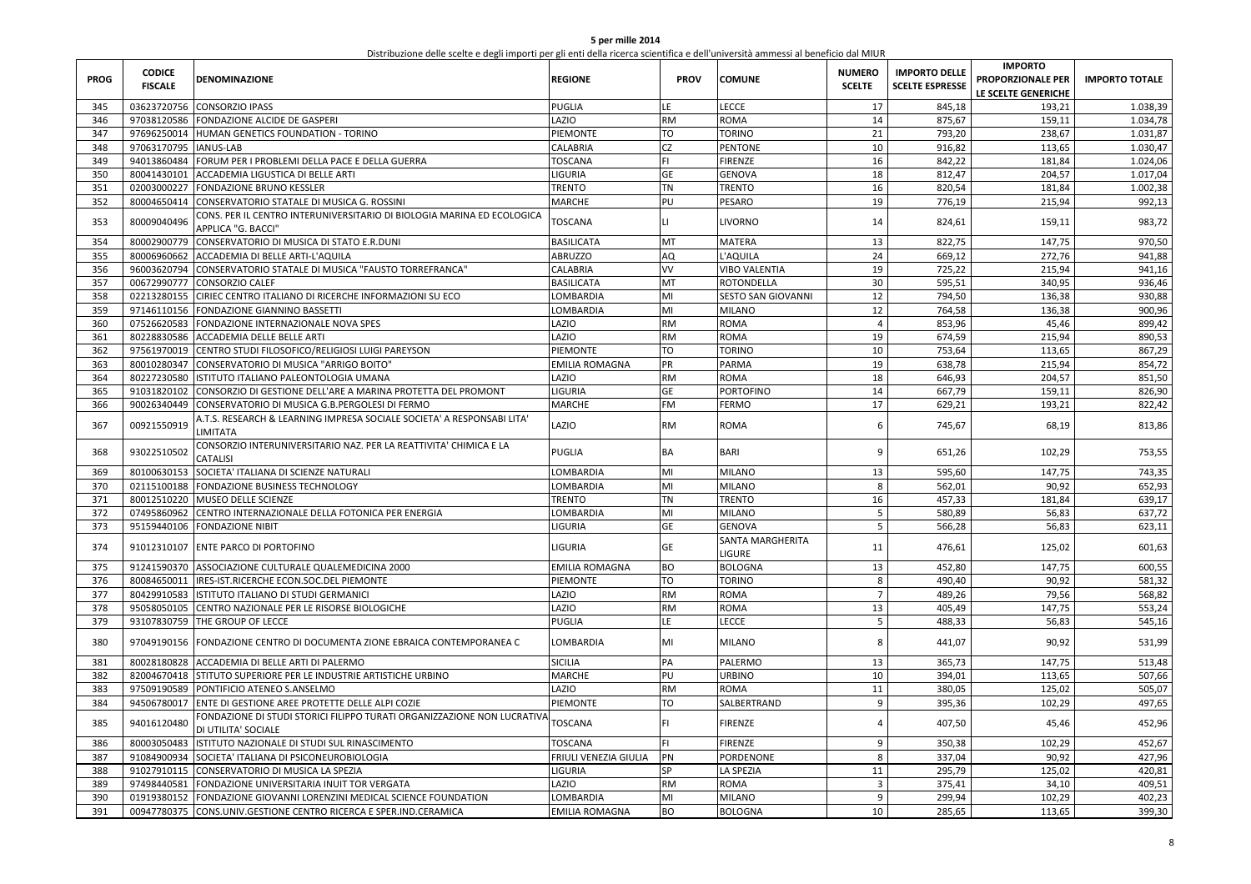| 5 per mille 2014                                                                                                                  |
|-----------------------------------------------------------------------------------------------------------------------------------|
| Distribuzione delle scelte e degli importi per gli enti della ricerca scientifica e dell'università ammessi al beneficio dal MIUR |

| <b>PROG</b> | <b>CODICE</b><br><b>FISCALE</b> | <b>DENOMINAZIONE</b>                                                                           | <b>REGIONE</b>        | <b>PROV</b>  | <b>COMUNE</b>                            | <b>NUMERO</b><br><b>SCELTE</b> | <b>IMPORTO DELLE</b><br><b>SCELTE ESPRESSE</b> | <b>IMPORTO</b><br>PROPORZIONALE PER<br>LE SCELTE GENERICHE | <b>IMPORTO TOTALE</b> |
|-------------|---------------------------------|------------------------------------------------------------------------------------------------|-----------------------|--------------|------------------------------------------|--------------------------------|------------------------------------------------|------------------------------------------------------------|-----------------------|
| 345         | 03623720756                     | <b>CONSORZIO IPASS</b>                                                                         | PUGLIA                | LE.          | <b>LECCE</b>                             | 17                             | 845,18                                         | 193,21                                                     | 1.038,39              |
| 346         |                                 | 97038120586 FONDAZIONE ALCIDE DE GASPERI                                                       | LAZIO                 | <b>RM</b>    | <b>ROMA</b>                              | 14                             | 875,67                                         | 159,11                                                     | 1.034,78              |
| 347         | 97696250014                     | HUMAN GENETICS FOUNDATION - TORINO                                                             | PIEMONTE              | TO           | <b>TORINO</b>                            | 21                             | 793,20                                         | 238,67                                                     | 1.031,87              |
| 348         | 97063170795                     | <b>IANUS-LAB</b>                                                                               | CALABRIA              | CZ           | <b>PENTONE</b>                           | 10                             | 916,82                                         | 113,65                                                     | 1.030,47              |
| 349         |                                 | 94013860484 FORUM PER I PROBLEMI DELLA PACE E DELLA GUERRA                                     | <b>TOSCANA</b>        | FI.          | <b>FIRENZE</b>                           | 16                             | 842,22                                         | 181,84                                                     | 1.024,06              |
| 350         | 80041430101                     | ACCADEMIA LIGUSTICA DI BELLE ARTI                                                              | LIGURIA               | GE           | <b>GENOVA</b>                            | 18                             | 812,47                                         | 204,57                                                     | 1.017,04              |
| 351         | 02003000227                     | <b>FONDAZIONE BRUNO KESSLER</b>                                                                | <b>TRENTO</b>         | TN           | <b>TRENTO</b>                            | 16                             | 820,54                                         | 181,84                                                     | 1.002,38              |
| 352         | 80004650414                     | CONSERVATORIO STATALE DI MUSICA G. ROSSINI                                                     | MARCHE                | PU           | <b>PESARO</b>                            | 19                             | 776,19                                         | 215,94                                                     | 992,13                |
| 353         | 80009040496                     | CONS. PER IL CENTRO INTERUNIVERSITARIO DI BIOLOGIA MARINA ED ECOLOGICA<br>APPLICA "G. BACCI"   | TOSCANA               | $\mathsf{L}$ | <b>LIVORNO</b>                           | 14                             | 824,61                                         | 159,11                                                     | 983,72                |
| 354         |                                 | 80002900779 CONSERVATORIO DI MUSICA DI STATO E.R.DUNI                                          | <b>BASILICATA</b>     | MT           | <b>MATERA</b>                            | 13                             | 822,75                                         | 147,75                                                     | 970,50                |
| 355         | 80006960662                     | ACCADEMIA DI BELLE ARTI-L'AQUILA                                                               | <b>ABRUZZO</b>        | AQ           | L'AQUILA                                 | 24                             | 669,12                                         | 272,76                                                     | 941,88                |
| 356         | 96003620794                     | CONSERVATORIO STATALE DI MUSICA "FAUSTO TORREFRANCA"                                           | CALABRIA              | VV           | <b>VIBO VALENTIA</b>                     | 19                             | 725,22                                         | 215,94                                                     | 941,16                |
| 357         | 00672990777                     | <b>CONSORZIO CALEF</b>                                                                         | <b>BASILICATA</b>     | MT           | <b>ROTONDELLA</b>                        | 30                             | 595,51                                         | 340,95                                                     | 936,46                |
| 358         | 02213280155                     | CIRIEC CENTRO ITALIANO DI RICERCHE INFORMAZIONI SU ECO                                         | LOMBARDIA             | MI           | <b>SESTO SAN GIOVANNI</b>                | 12                             | 794,50                                         | 136,38                                                     | 930,88                |
| 359         | 97146110156                     | FONDAZIONE GIANNINO BASSETTI                                                                   | LOMBARDIA             | MI           | <b>MILANO</b>                            | 12                             | 764,58                                         | 136,38                                                     | 900,96                |
| 360         |                                 | 07526620583 FONDAZIONE INTERNAZIONALE NOVA SPES                                                | LAZIO                 | <b>RM</b>    | <b>ROMA</b>                              | 4                              | 853,96                                         | 45,46                                                      | 899,42                |
| 361         | 80228830586                     | <b>ACCADEMIA DELLE BELLE ARTI</b>                                                              | LAZIO                 | <b>RM</b>    | <b>ROMA</b>                              | 19                             | 674,59                                         | 215,94                                                     | 890,53                |
| 362         |                                 | 97561970019 CENTRO STUDI FILOSOFICO/RELIGIOSI LUIGI PAREYSON                                   | PIEMONTE              | TO           | <b>TORINO</b>                            | 10                             | 753,64                                         | 113,65                                                     | 867,29                |
| 363         |                                 | 80010280347 CONSERVATORIO DI MUSICA "ARRIGO BOITO"                                             | EMILIA ROMAGNA        | PR           | <b>PARMA</b>                             | 19                             | 638,78                                         | 215,94                                                     | 854,72                |
| 364         | 80227230580                     | ISTITUTO ITALIANO PALEONTOLOGIA UMANA                                                          | LAZIO                 | <b>RM</b>    | <b>ROMA</b>                              | 18                             | 646,93                                         | 204,57                                                     | 851,50                |
| 365         | 91031820102                     | CONSORZIO DI GESTIONE DELL'ARE A MARINA PROTETTA DEL PROMONT                                   | LIGURIA               | GE           | <b>PORTOFINO</b>                         | 14                             | 667,79                                         | 159,11                                                     | 826,90                |
| 366         | 90026340449                     | CONSERVATORIO DI MUSICA G.B.PERGOLESI DI FERMO                                                 | MARCHE                | FM           | <b>FERMO</b>                             | 17                             | 629,21                                         | 193,21                                                     | 822,42                |
| 367         | 00921550919                     | A.T.S. RESEARCH & LEARNING IMPRESA SOCIALE SOCIETA' A RESPONSABI LITA'<br>LIMITATA             | LAZIO                 | <b>RM</b>    | <b>ROMA</b>                              | 6                              | 745,67                                         | 68,19                                                      | 813,86                |
| 368         | 93022510502                     | CONSORZIO INTERUNIVERSITARIO NAZ. PER LA REATTIVITA' CHIMICA E LA<br>CATALISI                  | <b>PUGLIA</b>         | <b>BA</b>    | <b>BARI</b>                              | 9                              | 651,26                                         | 102,29                                                     | 753,55                |
| 369         | 80100630153                     | SOCIETA' ITALIANA DI SCIENZE NATURALI                                                          | LOMBARDIA             | MI           | <b>MILANO</b>                            | 13                             | 595,60                                         | 147,75                                                     | 743,35                |
| 370         |                                 | 02115100188 FONDAZIONE BUSINESS TECHNOLOGY                                                     | LOMBARDIA             | MI           | <b>MILANO</b>                            | 8                              | 562,01                                         | 90,92                                                      | 652,93                |
| 371         | 80012510220                     | <b>MUSEO DELLE SCIENZE</b>                                                                     | <b>TRENTO</b>         | <b>TN</b>    | <b>TRENTO</b>                            | 16                             | 457,33                                         | 181,84                                                     | 639,17                |
| 372         | 07495860962                     | CENTRO INTERNAZIONALE DELLA FOTONICA PER ENERGIA                                               | LOMBARDIA             | MI           | <b>MILANO</b>                            | 5                              | 580,89                                         | 56,83                                                      | 637,72                |
| 373         |                                 | 95159440106 FONDAZIONE NIBIT                                                                   | LIGURIA               | GE           | <b>GENOVA</b>                            | 5                              | 566,28                                         | 56,83                                                      | 623,11                |
| 374         |                                 | 91012310107 ENTE PARCO DI PORTOFINO                                                            | LIGURIA               | GE           | <b>SANTA MARGHERITA</b><br><b>LIGURE</b> | 11                             | 476,61                                         | 125,02                                                     | 601,63                |
| 375         |                                 | 91241590370 ASSOCIAZIONE CULTURALE QUALEMEDICINA 2000                                          | EMILIA ROMAGNA        | BО           | <b>BOLOGNA</b>                           | 13                             | 452,80                                         | 147,75                                                     | 600,55                |
| 376         | 80084650011                     | IRES-IST.RICERCHE ECON.SOC.DEL PIEMONTE                                                        | PIEMONTE              | TO           | <b>TORINO</b>                            | 8                              | 490,40                                         | 90,92                                                      | 581,32                |
| 377         | 80429910583                     | ISTITUTO ITALIANO DI STUDI GERMANICI                                                           | LAZIO                 | <b>RM</b>    | <b>ROMA</b>                              | $\overline{7}$                 | 489,26                                         | 79,56                                                      | 568,82                |
| 378         |                                 | 95058050105 CENTRO NAZIONALE PER LE RISORSE BIOLOGICHE                                         | LAZIO                 | RM           | <b>ROMA</b>                              | 13                             | 405,49                                         | 147,75                                                     | 553,24                |
| 379         | 93107830759                     | THE GROUP OF LECCE                                                                             | PUGLIA                | LE           | <b>LECCE</b>                             | 5                              | 488,33                                         | 56,83                                                      | 545,16                |
| 380         | 97049190156                     | FONDAZIONE CENTRO DI DOCUMENTA ZIONE EBRAICA CONTEMPORANEA C                                   | LOMBARDIA             | MI           | <b>MILANO</b>                            | 8                              | 441,07                                         | 90,92                                                      | 531,99                |
| 381         | 80028180828                     | ACCADEMIA DI BELLE ARTI DI PALERMO                                                             | <b>SICILIA</b>        | PA           | PALERMO                                  | 13                             | 365,73                                         | 147,75                                                     | 513,48                |
| 382         |                                 | 82004670418 STITUTO SUPERIORE PER LE INDUSTRIE ARTISTICHE URBINO                               | <b>MARCHE</b>         | PU           | <b>URBINO</b>                            | 10                             | 394,01                                         | 113,65                                                     | 507,66                |
| 383         |                                 | 97509190589 PONTIFICIO ATENEO S.ANSELMO                                                        | LAZIO                 | <b>RM</b>    | <b>ROMA</b>                              | 11                             | 380,05                                         | 125,02                                                     | 505,07                |
| 384         | 94506780017                     | ENTE DI GESTIONE AREE PROTETTE DELLE ALPI COZIE                                                | PIEMONTE              | <b>TO</b>    | SALBERTRAND                              | 9                              | 395,36                                         | 102,29                                                     | 497,65                |
| 385         | 94016120480                     | FONDAZIONE DI STUDI STORICI FILIPPO TURATI ORGANIZZAZIONE NON LUCRATIVA<br>DI UTILITA' SOCIALE | TOSCANA               |              | <b>FIRENZE</b>                           | $\overline{4}$                 | 407,50                                         | 45,46                                                      | 452,96                |
| 386         | 80003050483                     | ISTITUTO NAZIONALE DI STUDI SUL RINASCIMENTO                                                   | TOSCANA               | <b>FI</b>    | <b>FIRENZE</b>                           | 9                              | 350,38                                         | 102,29                                                     | 452,67                |
| 387         | 91084900934                     | SOCIETA' ITALIANA DI PSICONEUROBIOLOGIA                                                        | FRIULI VENEZIA GIULIA | PN           | PORDENONE                                | 8                              | 337,04                                         | 90,92                                                      | 427,96                |
| 388         |                                 | 91027910115 CONSERVATORIO DI MUSICA LA SPEZIA                                                  | LIGURIA               | SP           | <b>LA SPEZIA</b>                         | 11                             | 295,79                                         | 125,02                                                     | 420,81                |
| 389         | 97498440581                     | FONDAZIONE UNIVERSITARIA INUIT TOR VERGATA                                                     | LAZIO                 | <b>RM</b>    | <b>ROMA</b>                              | $\overline{3}$                 | 375,41                                         | 34,10                                                      | 409,51                |
| 390         | 01919380152                     | FONDAZIONE GIOVANNI LORENZINI MEDICAL SCIENCE FOUNDATION                                       | LOMBARDIA             | MI           | <b>MILANO</b>                            | 9                              | 299,94                                         | 102,29                                                     | 402,23                |
| 391         |                                 | 00947780375 CONS.UNIV.GESTIONE CENTRO RICERCA E SPER.IND.CERAMICA                              | <b>EMILIA ROMAGNA</b> | BO           | <b>BOLOGNA</b>                           | 10                             | 285,65                                         | 113,65                                                     | 399,30                |